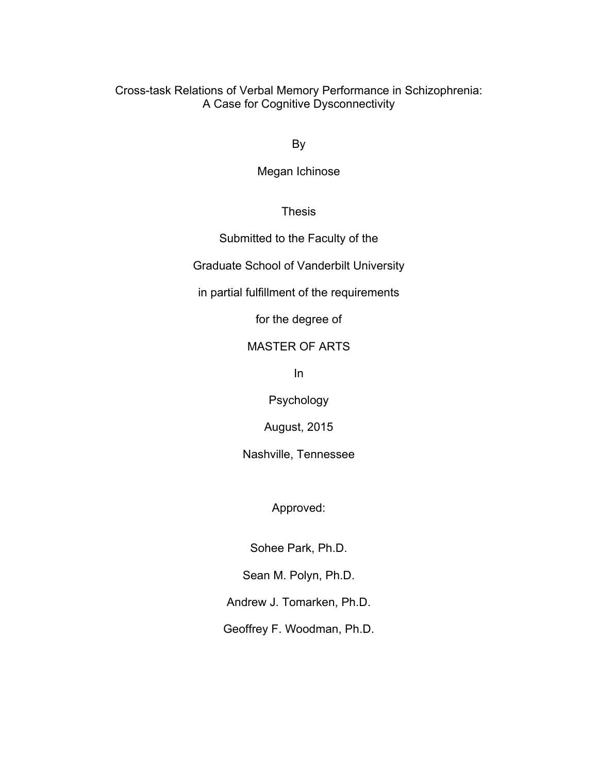Cross-task Relations of Verbal Memory Performance in Schizophrenia: A Case for Cognitive Dysconnectivity

By

Megan Ichinose

Thesis

Submitted to the Faculty of the

Graduate School of Vanderbilt University

in partial fulfillment of the requirements

for the degree of

# MASTER OF ARTS

In

Psychology

August, 2015

Nashville, Tennessee

Approved:

Sohee Park, Ph.D.

Sean M. Polyn, Ph.D.

Andrew J. Tomarken, Ph.D.

Geoffrey F. Woodman, Ph.D.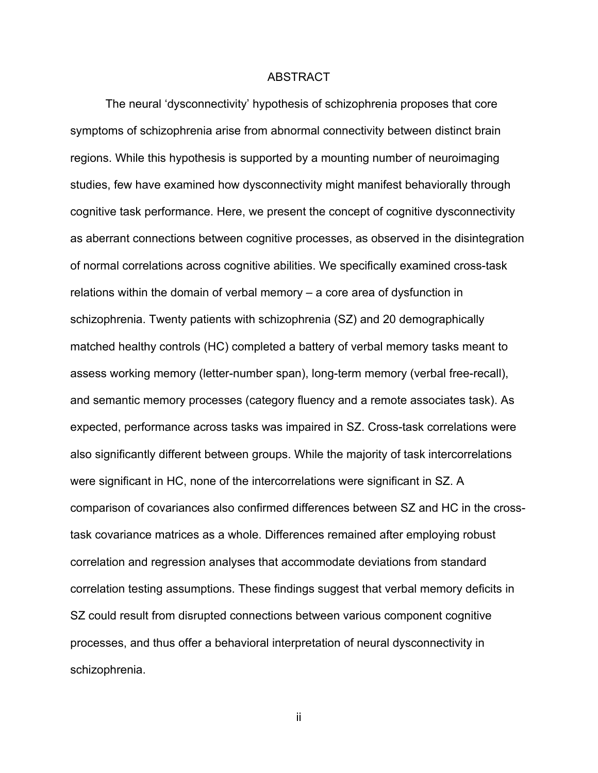#### ABSTRACT

The neural 'dysconnectivity' hypothesis of schizophrenia proposes that core symptoms of schizophrenia arise from abnormal connectivity between distinct brain regions. While this hypothesis is supported by a mounting number of neuroimaging studies, few have examined how dysconnectivity might manifest behaviorally through cognitive task performance. Here, we present the concept of cognitive dysconnectivity as aberrant connections between cognitive processes, as observed in the disintegration of normal correlations across cognitive abilities. We specifically examined cross-task relations within the domain of verbal memory – a core area of dysfunction in schizophrenia. Twenty patients with schizophrenia (SZ) and 20 demographically matched healthy controls (HC) completed a battery of verbal memory tasks meant to assess working memory (letter-number span), long-term memory (verbal free-recall), and semantic memory processes (category fluency and a remote associates task). As expected, performance across tasks was impaired in SZ. Cross-task correlations were also significantly different between groups. While the majority of task intercorrelations were significant in HC, none of the intercorrelations were significant in SZ. A comparison of covariances also confirmed differences between SZ and HC in the crosstask covariance matrices as a whole. Differences remained after employing robust correlation and regression analyses that accommodate deviations from standard correlation testing assumptions. These findings suggest that verbal memory deficits in SZ could result from disrupted connections between various component cognitive processes, and thus offer a behavioral interpretation of neural dysconnectivity in schizophrenia.

ii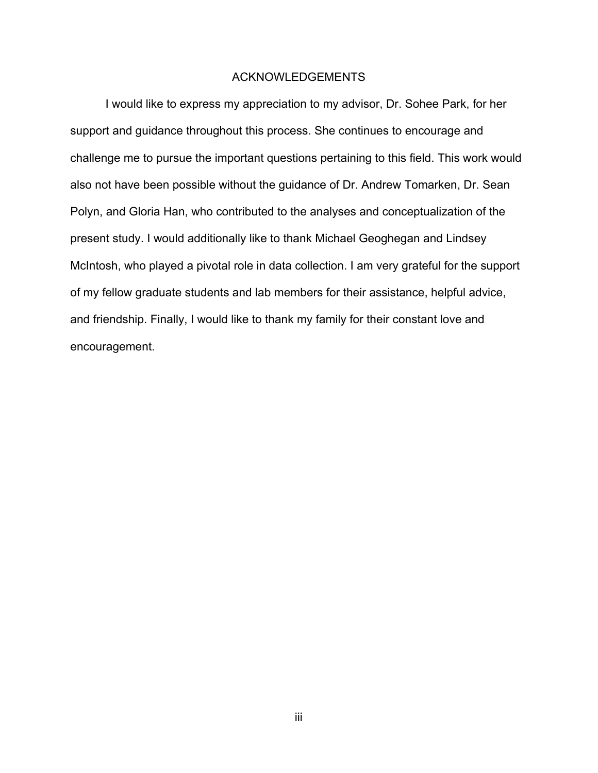# ACKNOWLEDGEMENTS

I would like to express my appreciation to my advisor, Dr. Sohee Park, for her support and guidance throughout this process. She continues to encourage and challenge me to pursue the important questions pertaining to this field. This work would also not have been possible without the guidance of Dr. Andrew Tomarken, Dr. Sean Polyn, and Gloria Han, who contributed to the analyses and conceptualization of the present study. I would additionally like to thank Michael Geoghegan and Lindsey McIntosh, who played a pivotal role in data collection. I am very grateful for the support of my fellow graduate students and lab members for their assistance, helpful advice, and friendship. Finally, I would like to thank my family for their constant love and encouragement.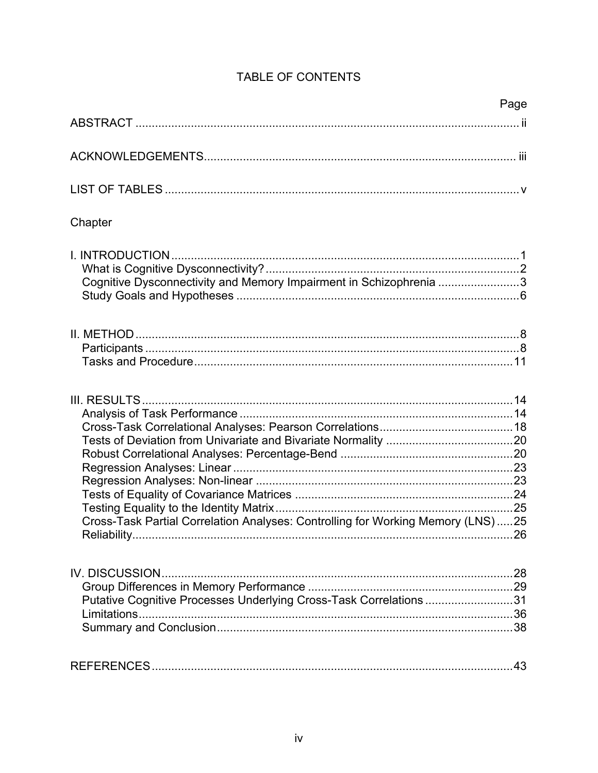|                                                                                                 | Page |
|-------------------------------------------------------------------------------------------------|------|
|                                                                                                 |      |
|                                                                                                 |      |
|                                                                                                 |      |
| Chapter                                                                                         |      |
| Cognitive Dysconnectivity and Memory Impairment in Schizophrenia 3                              |      |
|                                                                                                 |      |
|                                                                                                 |      |
| Cross-Task Partial Correlation Analyses: Controlling for Working Memory (LNS)25<br>Reliability. |      |
| IV. DISCUSSION<br>Putative Cognitive Processes Underlying Cross-Task Correlations 31            |      |
|                                                                                                 |      |

# TABLE OF CONTENTS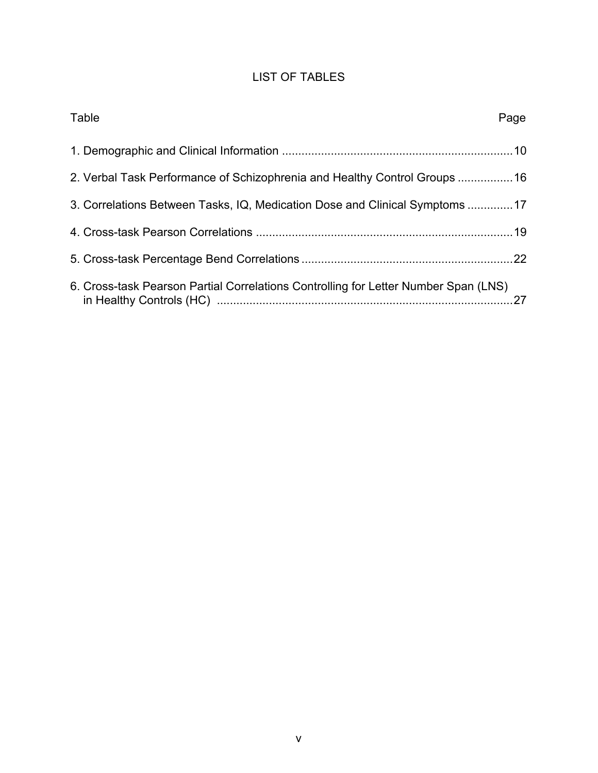# LIST OF TABLES

| Table                                                                               | Page |
|-------------------------------------------------------------------------------------|------|
|                                                                                     |      |
| 2. Verbal Task Performance of Schizophrenia and Healthy Control Groups 16           |      |
| 3. Correlations Between Tasks, IQ, Medication Dose and Clinical Symptoms 17         |      |
|                                                                                     |      |
|                                                                                     |      |
| 6. Cross-task Pearson Partial Correlations Controlling for Letter Number Span (LNS) |      |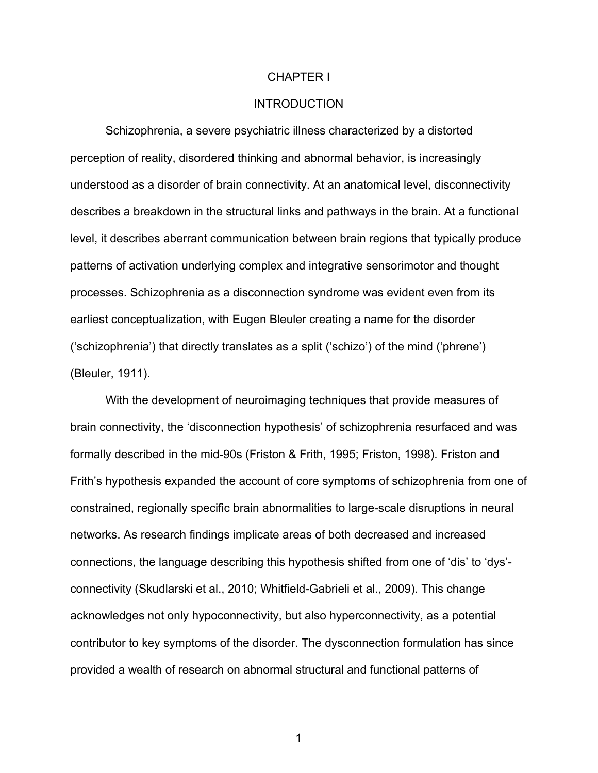#### CHAPTER I

# INTRODUCTION

Schizophrenia, a severe psychiatric illness characterized by a distorted perception of reality, disordered thinking and abnormal behavior, is increasingly understood as a disorder of brain connectivity. At an anatomical level, disconnectivity describes a breakdown in the structural links and pathways in the brain. At a functional level, it describes aberrant communication between brain regions that typically produce patterns of activation underlying complex and integrative sensorimotor and thought processes. Schizophrenia as a disconnection syndrome was evident even from its earliest conceptualization, with Eugen Bleuler creating a name for the disorder ('schizophrenia') that directly translates as a split ('schizo') of the mind ('phrene') (Bleuler, 1911).

With the development of neuroimaging techniques that provide measures of brain connectivity, the 'disconnection hypothesis' of schizophrenia resurfaced and was formally described in the mid-90s (Friston & Frith, 1995; Friston, 1998). Friston and Frith's hypothesis expanded the account of core symptoms of schizophrenia from one of constrained, regionally specific brain abnormalities to large-scale disruptions in neural networks. As research findings implicate areas of both decreased and increased connections, the language describing this hypothesis shifted from one of 'dis' to 'dys' connectivity (Skudlarski et al., 2010; Whitfield-Gabrieli et al., 2009). This change acknowledges not only hypoconnectivity, but also hyperconnectivity, as a potential contributor to key symptoms of the disorder. The dysconnection formulation has since provided a wealth of research on abnormal structural and functional patterns of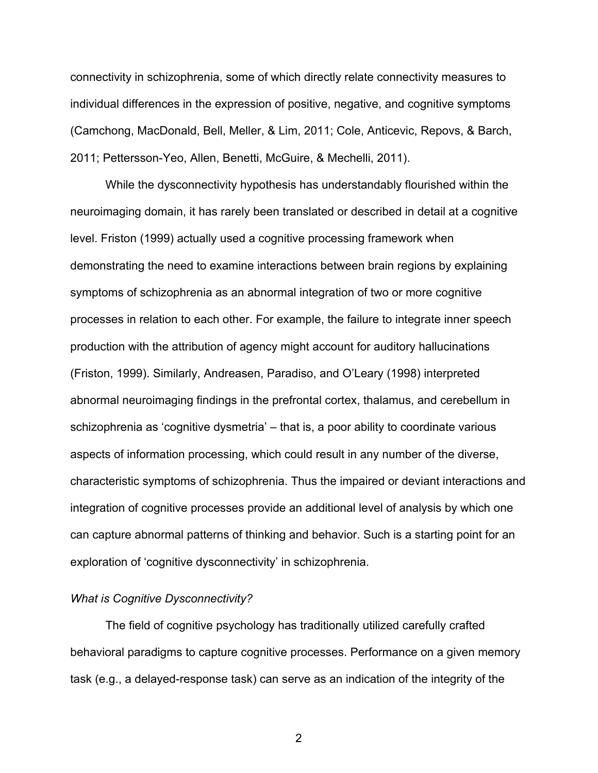connectivity in schizophrenia, some of which directly relate connectivity measures to individual differences in the expression of positive, negative, and cognitive symptoms (Camchong, MacDonald, Bell, Meller, & Lim, 2011; Cole, Anticevic, Repovs, & Barch, 2011; Pettersson-Yeo, Allen, Benetti, McGuire, & Mechelli, 2011).

While the dysconnectivity hypothesis has understandably flourished within the neuroimaging domain, it has rarely been translated or described in detail at a cognitive level. Friston (1999) actually used a cognitive processing framework when demonstrating the need to examine interactions between brain regions by explaining symptoms of schizophrenia as an abnormal integration of two or more cognitive processes in relation to each other. For example, the failure to integrate inner speech production with the attribution of agency might account for auditory hallucinations (Friston, 1999). Similarly, Andreasen, Paradiso, and O'Leary (1998) interpreted abnormal neuroimaging findings in the prefrontal cortex, thalamus, and cerebellum in schizophrenia as 'cognitive dysmetria' – that is, a poor ability to coordinate various aspects of information processing, which could result in any number of the diverse, characteristic symptoms of schizophrenia. Thus the impaired or deviant interactions and integration of cognitive processes provide an additional level of analysis by which one can capture abnormal patterns of thinking and behavior. Such is a starting point for an exploration of 'cognitive dysconnectivity' in schizophrenia.

#### *What is Cognitive Dysconnectivity?*

The field of cognitive psychology has traditionally utilized carefully crafted behavioral paradigms to capture cognitive processes. Performance on a given memory task (e.g., a delayed-response task) can serve as an indication of the integrity of the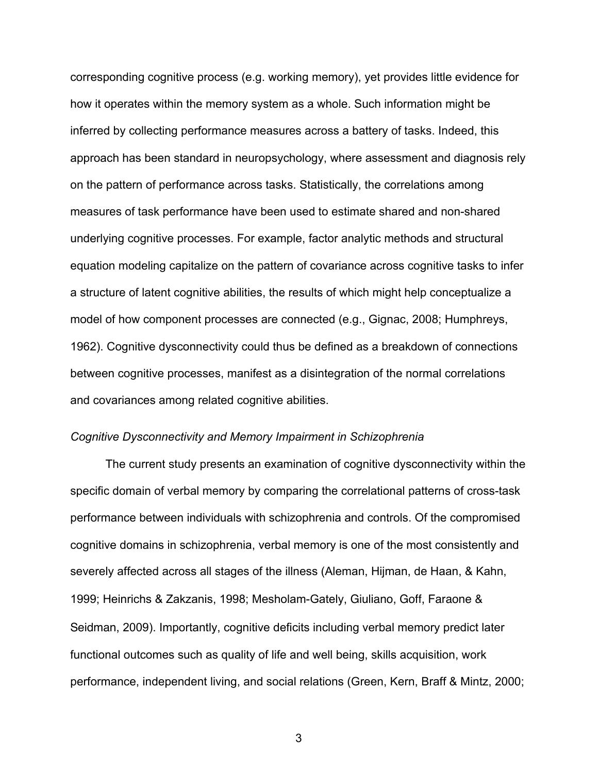corresponding cognitive process (e.g. working memory), yet provides little evidence for how it operates within the memory system as a whole. Such information might be inferred by collecting performance measures across a battery of tasks. Indeed, this approach has been standard in neuropsychology, where assessment and diagnosis rely on the pattern of performance across tasks. Statistically, the correlations among measures of task performance have been used to estimate shared and non-shared underlying cognitive processes. For example, factor analytic methods and structural equation modeling capitalize on the pattern of covariance across cognitive tasks to infer a structure of latent cognitive abilities, the results of which might help conceptualize a model of how component processes are connected (e.g., Gignac, 2008; Humphreys, 1962). Cognitive dysconnectivity could thus be defined as a breakdown of connections between cognitive processes, manifest as a disintegration of the normal correlations and covariances among related cognitive abilities.

# *Cognitive Dysconnectivity and Memory Impairment in Schizophrenia*

The current study presents an examination of cognitive dysconnectivity within the specific domain of verbal memory by comparing the correlational patterns of cross-task performance between individuals with schizophrenia and controls. Of the compromised cognitive domains in schizophrenia, verbal memory is one of the most consistently and severely affected across all stages of the illness (Aleman, Hijman, de Haan, & Kahn, 1999; Heinrichs & Zakzanis, 1998; Mesholam-Gately, Giuliano, Goff, Faraone & Seidman, 2009). Importantly, cognitive deficits including verbal memory predict later functional outcomes such as quality of life and well being, skills acquisition, work performance, independent living, and social relations (Green, Kern, Braff & Mintz, 2000;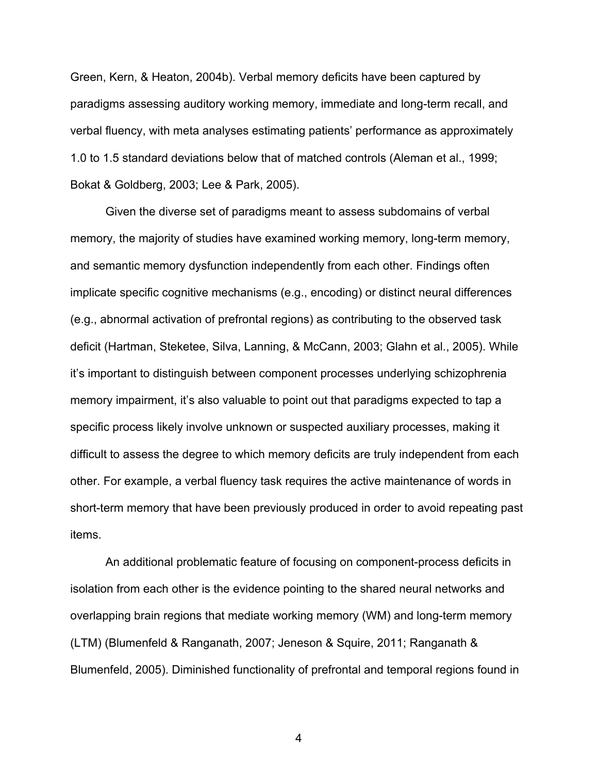Green, Kern, & Heaton, 2004b). Verbal memory deficits have been captured by paradigms assessing auditory working memory, immediate and long-term recall, and verbal fluency, with meta analyses estimating patients' performance as approximately 1.0 to 1.5 standard deviations below that of matched controls (Aleman et al., 1999; Bokat & Goldberg, 2003; Lee & Park, 2005).

Given the diverse set of paradigms meant to assess subdomains of verbal memory, the majority of studies have examined working memory, long-term memory, and semantic memory dysfunction independently from each other. Findings often implicate specific cognitive mechanisms (e.g., encoding) or distinct neural differences (e.g., abnormal activation of prefrontal regions) as contributing to the observed task deficit (Hartman, Steketee, Silva, Lanning, & McCann, 2003; Glahn et al., 2005). While it's important to distinguish between component processes underlying schizophrenia memory impairment, it's also valuable to point out that paradigms expected to tap a specific process likely involve unknown or suspected auxiliary processes, making it difficult to assess the degree to which memory deficits are truly independent from each other. For example, a verbal fluency task requires the active maintenance of words in short-term memory that have been previously produced in order to avoid repeating past items.

An additional problematic feature of focusing on component-process deficits in isolation from each other is the evidence pointing to the shared neural networks and overlapping brain regions that mediate working memory (WM) and long-term memory (LTM) (Blumenfeld & Ranganath, 2007; Jeneson & Squire, 2011; Ranganath & Blumenfeld, 2005). Diminished functionality of prefrontal and temporal regions found in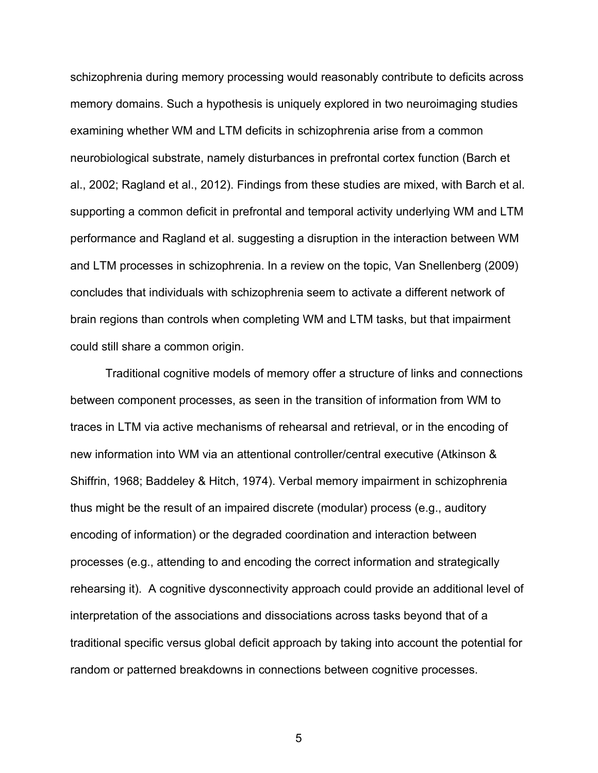schizophrenia during memory processing would reasonably contribute to deficits across memory domains. Such a hypothesis is uniquely explored in two neuroimaging studies examining whether WM and LTM deficits in schizophrenia arise from a common neurobiological substrate, namely disturbances in prefrontal cortex function (Barch et al., 2002; Ragland et al., 2012). Findings from these studies are mixed, with Barch et al. supporting a common deficit in prefrontal and temporal activity underlying WM and LTM performance and Ragland et al. suggesting a disruption in the interaction between WM and LTM processes in schizophrenia. In a review on the topic, Van Snellenberg (2009) concludes that individuals with schizophrenia seem to activate a different network of brain regions than controls when completing WM and LTM tasks, but that impairment could still share a common origin.

Traditional cognitive models of memory offer a structure of links and connections between component processes, as seen in the transition of information from WM to traces in LTM via active mechanisms of rehearsal and retrieval, or in the encoding of new information into WM via an attentional controller/central executive (Atkinson & Shiffrin, 1968; Baddeley & Hitch, 1974). Verbal memory impairment in schizophrenia thus might be the result of an impaired discrete (modular) process (e.g., auditory encoding of information) or the degraded coordination and interaction between processes (e.g., attending to and encoding the correct information and strategically rehearsing it). A cognitive dysconnectivity approach could provide an additional level of interpretation of the associations and dissociations across tasks beyond that of a traditional specific versus global deficit approach by taking into account the potential for random or patterned breakdowns in connections between cognitive processes.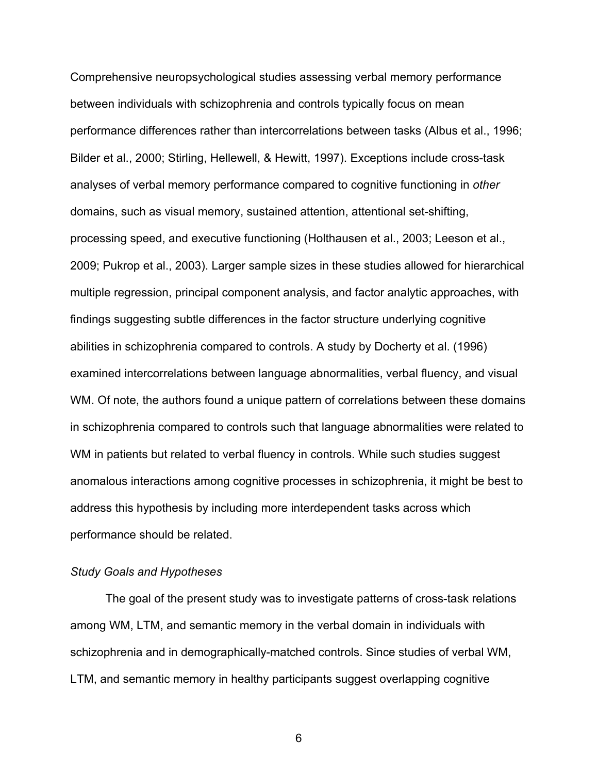Comprehensive neuropsychological studies assessing verbal memory performance between individuals with schizophrenia and controls typically focus on mean performance differences rather than intercorrelations between tasks (Albus et al., 1996; Bilder et al., 2000; Stirling, Hellewell, & Hewitt, 1997). Exceptions include cross-task analyses of verbal memory performance compared to cognitive functioning in *other* domains, such as visual memory, sustained attention, attentional set-shifting, processing speed, and executive functioning (Holthausen et al., 2003; Leeson et al., 2009; Pukrop et al., 2003). Larger sample sizes in these studies allowed for hierarchical multiple regression, principal component analysis, and factor analytic approaches, with findings suggesting subtle differences in the factor structure underlying cognitive abilities in schizophrenia compared to controls. A study by Docherty et al. (1996) examined intercorrelations between language abnormalities, verbal fluency, and visual WM. Of note, the authors found a unique pattern of correlations between these domains in schizophrenia compared to controls such that language abnormalities were related to WM in patients but related to verbal fluency in controls. While such studies suggest anomalous interactions among cognitive processes in schizophrenia, it might be best to address this hypothesis by including more interdependent tasks across which performance should be related.

# *Study Goals and Hypotheses*

The goal of the present study was to investigate patterns of cross-task relations among WM, LTM, and semantic memory in the verbal domain in individuals with schizophrenia and in demographically-matched controls. Since studies of verbal WM, LTM, and semantic memory in healthy participants suggest overlapping cognitive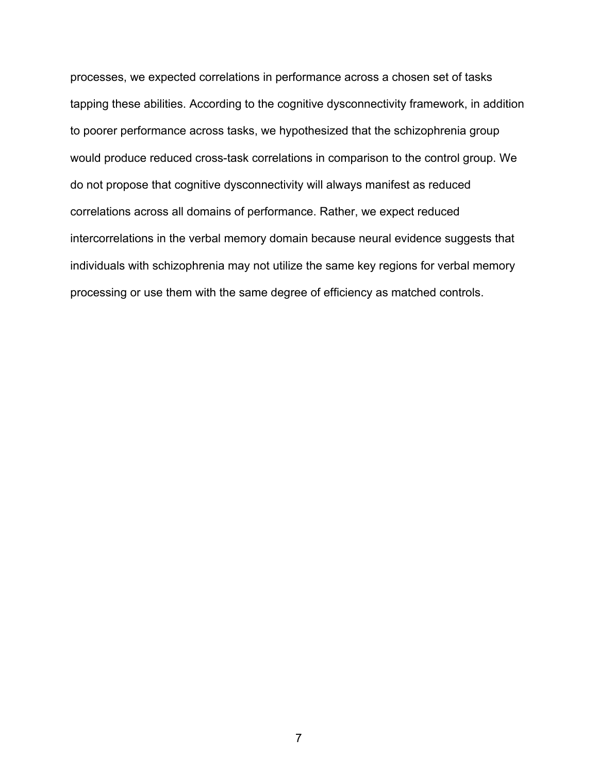processes, we expected correlations in performance across a chosen set of tasks tapping these abilities. According to the cognitive dysconnectivity framework, in addition to poorer performance across tasks, we hypothesized that the schizophrenia group would produce reduced cross-task correlations in comparison to the control group. We do not propose that cognitive dysconnectivity will always manifest as reduced correlations across all domains of performance. Rather, we expect reduced intercorrelations in the verbal memory domain because neural evidence suggests that individuals with schizophrenia may not utilize the same key regions for verbal memory processing or use them with the same degree of efficiency as matched controls.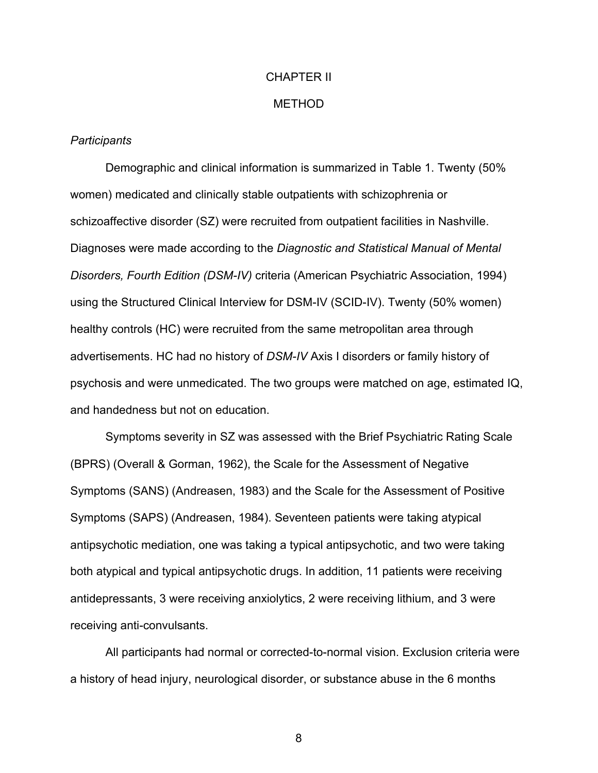# CHAPTER II

#### METHOD

#### *Participants*

Demographic and clinical information is summarized in Table 1. Twenty (50% women) medicated and clinically stable outpatients with schizophrenia or schizoaffective disorder (SZ) were recruited from outpatient facilities in Nashville. Diagnoses were made according to the *Diagnostic and Statistical Manual of Mental Disorders, Fourth Edition (DSM-IV)* criteria (American Psychiatric Association, 1994) using the Structured Clinical Interview for DSM-IV (SCID-IV). Twenty (50% women) healthy controls (HC) were recruited from the same metropolitan area through advertisements. HC had no history of *DSM-IV* Axis I disorders or family history of psychosis and were unmedicated. The two groups were matched on age, estimated IQ, and handedness but not on education.

Symptoms severity in SZ was assessed with the Brief Psychiatric Rating Scale (BPRS) (Overall & Gorman, 1962), the Scale for the Assessment of Negative Symptoms (SANS) (Andreasen, 1983) and the Scale for the Assessment of Positive Symptoms (SAPS) (Andreasen, 1984). Seventeen patients were taking atypical antipsychotic mediation, one was taking a typical antipsychotic, and two were taking both atypical and typical antipsychotic drugs. In addition, 11 patients were receiving antidepressants, 3 were receiving anxiolytics, 2 were receiving lithium, and 3 were receiving anti-convulsants.

All participants had normal or corrected-to-normal vision. Exclusion criteria were a history of head injury, neurological disorder, or substance abuse in the 6 months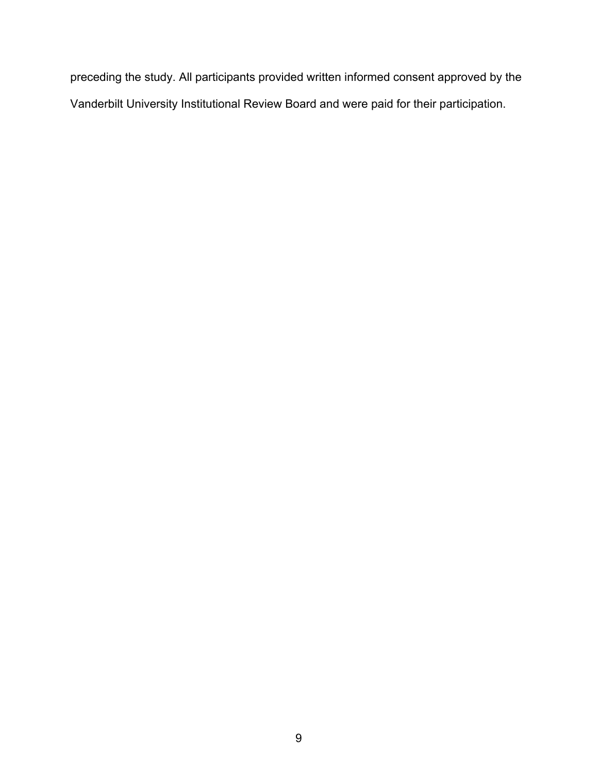preceding the study. All participants provided written informed consent approved by the Vanderbilt University Institutional Review Board and were paid for their participation.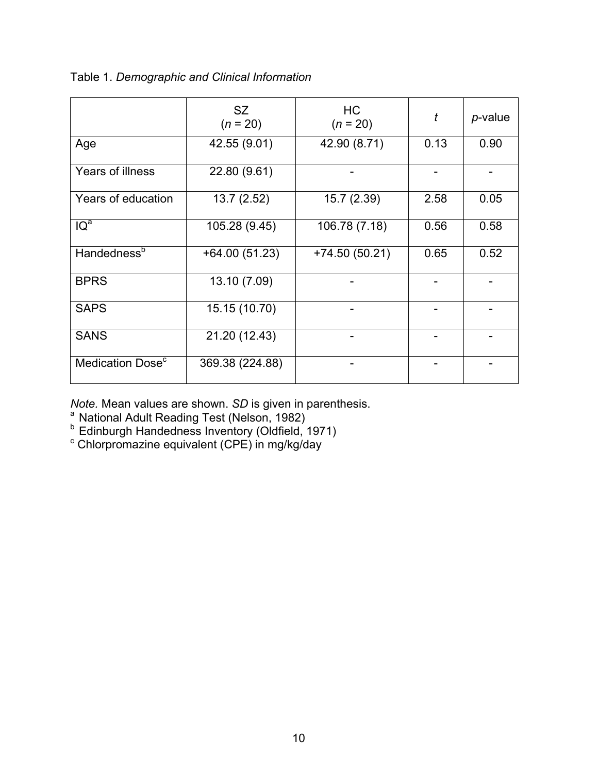|  | Table 1. Demographic and Clinical Information |  |  |
|--|-----------------------------------------------|--|--|
|--|-----------------------------------------------|--|--|

|                              | SZ.<br>$(n = 20)$ | HC<br>$(n = 20)$ | t    | p-value |
|------------------------------|-------------------|------------------|------|---------|
| Age                          | 42.55 (9.01)      | 42.90 (8.71)     | 0.13 | 0.90    |
| Years of illness             | 22.80 (9.61)      |                  |      |         |
| Years of education           | 13.7(2.52)        | 15.7 (2.39)      | 2.58 | 0.05    |
| $\overline{IQ}^a$            | 105.28 (9.45)     | 106.78 (7.18)    | 0.56 | 0.58    |
| Handedness <sup>b</sup>      | $+64.00(51.23)$   | $+74.50(50.21)$  | 0.65 | 0.52    |
| <b>BPRS</b>                  | 13.10 (7.09)      |                  |      |         |
| <b>SAPS</b>                  | 15.15 (10.70)     |                  |      |         |
| <b>SANS</b>                  | 21.20 (12.43)     |                  |      |         |
| Medication Dose <sup>c</sup> | 369.38 (224.88)   |                  |      |         |

*Note.* Mean values are shown. *SD* is given in parenthesis.<br><sup>a</sup> National Adult Reading Test (Nelson, 1982)<br><sup>b</sup> Edinburgh Handedness Inventory (Oldfield, 1971)<br><sup>c</sup> Chlorpromazine equivalent (CPE) in mg/kg/day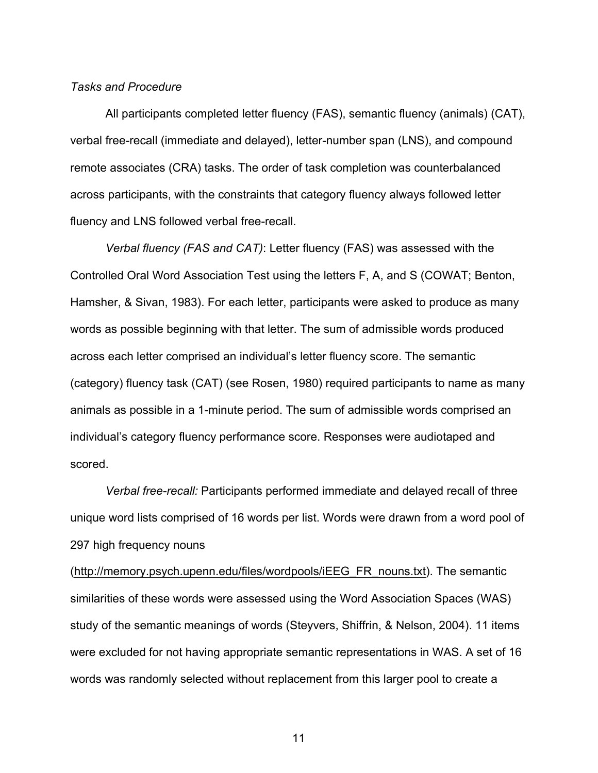# *Tasks and Procedure*

All participants completed letter fluency (FAS), semantic fluency (animals) (CAT), verbal free-recall (immediate and delayed), letter-number span (LNS), and compound remote associates (CRA) tasks. The order of task completion was counterbalanced across participants, with the constraints that category fluency always followed letter fluency and LNS followed verbal free-recall.

*Verbal fluency (FAS and CAT)*: Letter fluency (FAS) was assessed with the Controlled Oral Word Association Test using the letters F, A, and S (COWAT; Benton, Hamsher, & Sivan, 1983). For each letter, participants were asked to produce as many words as possible beginning with that letter. The sum of admissible words produced across each letter comprised an individual's letter fluency score. The semantic (category) fluency task (CAT) (see Rosen, 1980) required participants to name as many animals as possible in a 1-minute period. The sum of admissible words comprised an individual's category fluency performance score. Responses were audiotaped and scored.

*Verbal free-recall:* Participants performed immediate and delayed recall of three unique word lists comprised of 16 words per list. Words were drawn from a word pool of 297 high frequency nouns

(http://memory.psych.upenn.edu/files/wordpools/iEEG\_FR\_nouns.txt). The semantic similarities of these words were assessed using the Word Association Spaces (WAS) study of the semantic meanings of words (Steyvers, Shiffrin, & Nelson, 2004). 11 items were excluded for not having appropriate semantic representations in WAS. A set of 16 words was randomly selected without replacement from this larger pool to create a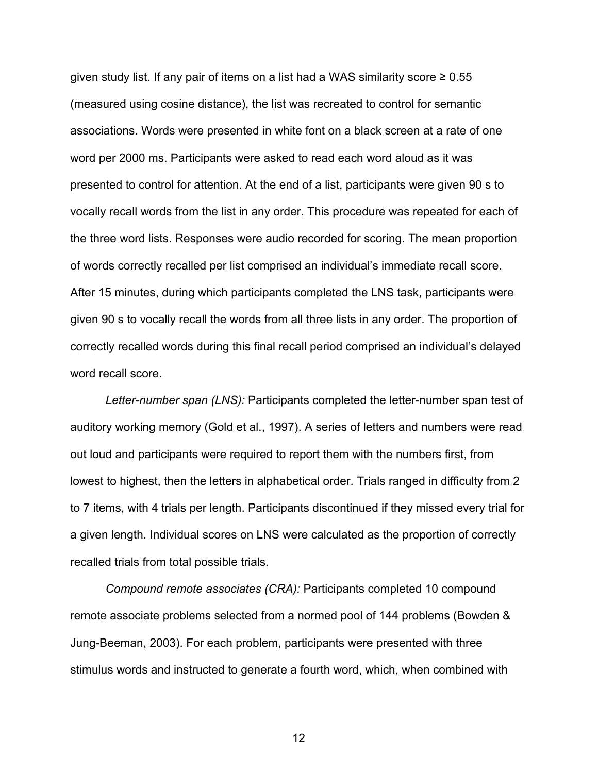given study list. If any pair of items on a list had a WAS similarity score  $\geq 0.55$ (measured using cosine distance), the list was recreated to control for semantic associations. Words were presented in white font on a black screen at a rate of one word per 2000 ms. Participants were asked to read each word aloud as it was presented to control for attention. At the end of a list, participants were given 90 s to vocally recall words from the list in any order. This procedure was repeated for each of the three word lists. Responses were audio recorded for scoring. The mean proportion of words correctly recalled per list comprised an individual's immediate recall score. After 15 minutes, during which participants completed the LNS task, participants were given 90 s to vocally recall the words from all three lists in any order. The proportion of correctly recalled words during this final recall period comprised an individual's delayed word recall score.

*Letter-number span (LNS):* Participants completed the letter-number span test of auditory working memory (Gold et al., 1997). A series of letters and numbers were read out loud and participants were required to report them with the numbers first, from lowest to highest, then the letters in alphabetical order. Trials ranged in difficulty from 2 to 7 items, with 4 trials per length. Participants discontinued if they missed every trial for a given length. Individual scores on LNS were calculated as the proportion of correctly recalled trials from total possible trials.

*Compound remote associates (CRA):* Participants completed 10 compound remote associate problems selected from a normed pool of 144 problems (Bowden & Jung-Beeman, 2003). For each problem, participants were presented with three stimulus words and instructed to generate a fourth word, which, when combined with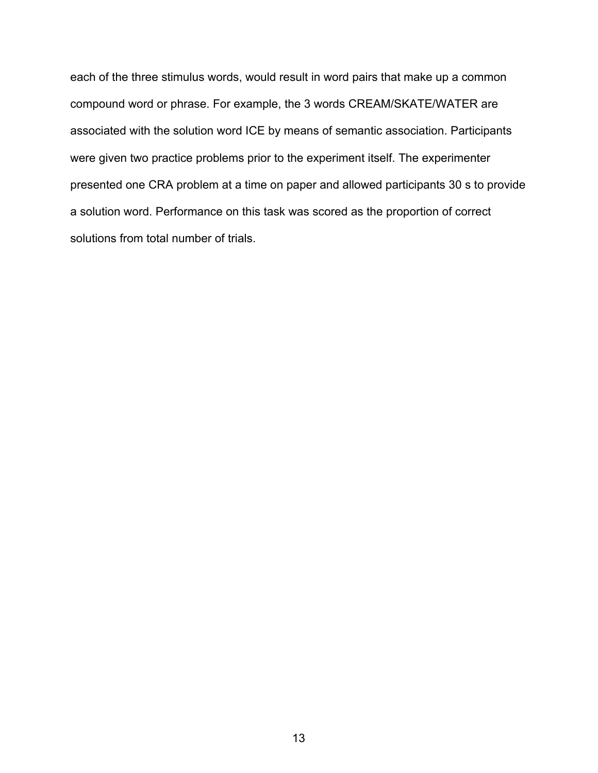each of the three stimulus words, would result in word pairs that make up a common compound word or phrase. For example, the 3 words CREAM/SKATE/WATER are associated with the solution word ICE by means of semantic association. Participants were given two practice problems prior to the experiment itself. The experimenter presented one CRA problem at a time on paper and allowed participants 30 s to provide a solution word. Performance on this task was scored as the proportion of correct solutions from total number of trials.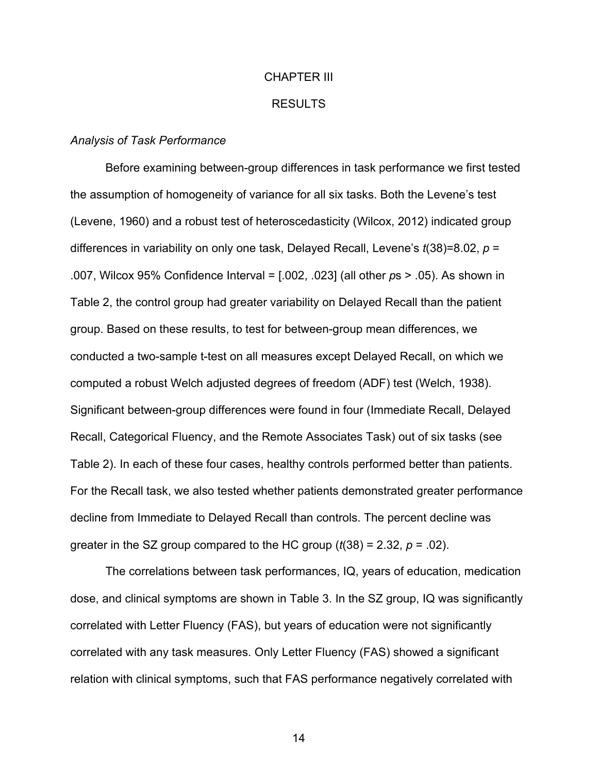# CHAPTER III RESULTS

#### *Analysis of Task Performance*

Before examining between-group differences in task performance we first tested the assumption of homogeneity of variance for all six tasks. Both the Levene's test (Levene, 1960) and a robust test of heteroscedasticity (Wilcox, 2012) indicated group differences in variability on only one task, Delayed Recall, Levene's *t*(38)=8.02, *p* = .007, Wilcox 95% Confidence Interval = [.002, .023] (all other *p*s > .05). As shown in Table 2, the control group had greater variability on Delayed Recall than the patient group. Based on these results, to test for between-group mean differences, we conducted a two-sample t-test on all measures except Delayed Recall, on which we computed a robust Welch adjusted degrees of freedom (ADF) test (Welch, 1938). Significant between-group differences were found in four (Immediate Recall, Delayed Recall, Categorical Fluency, and the Remote Associates Task) out of six tasks (see Table 2). In each of these four cases, healthy controls performed better than patients. For the Recall task, we also tested whether patients demonstrated greater performance decline from Immediate to Delayed Recall than controls. The percent decline was greater in the SZ group compared to the HC group  $(t(38) = 2.32, p = .02)$ .

The correlations between task performances, IQ, years of education, medication dose, and clinical symptoms are shown in Table 3. In the SZ group, IQ was significantly correlated with Letter Fluency (FAS), but years of education were not significantly correlated with any task measures. Only Letter Fluency (FAS) showed a significant relation with clinical symptoms, such that FAS performance negatively correlated with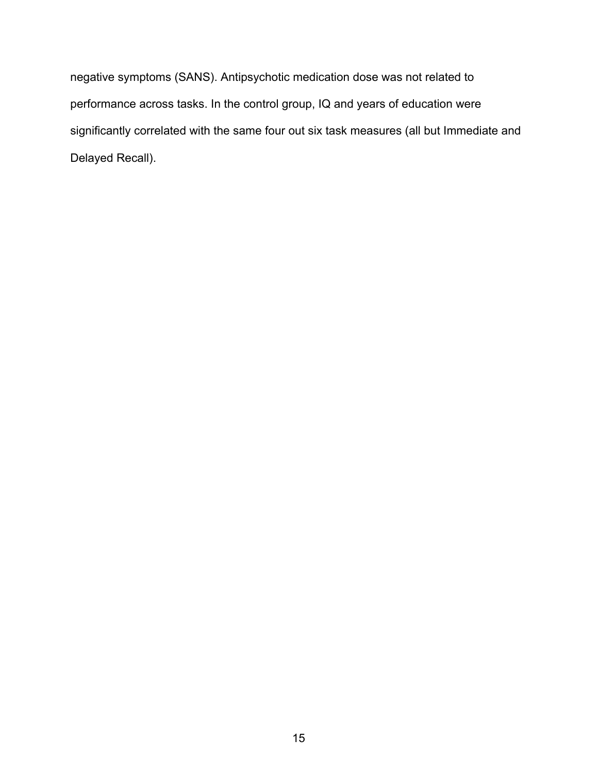negative symptoms (SANS). Antipsychotic medication dose was not related to performance across tasks. In the control group, IQ and years of education were significantly correlated with the same four out six task measures (all but Immediate and Delayed Recall).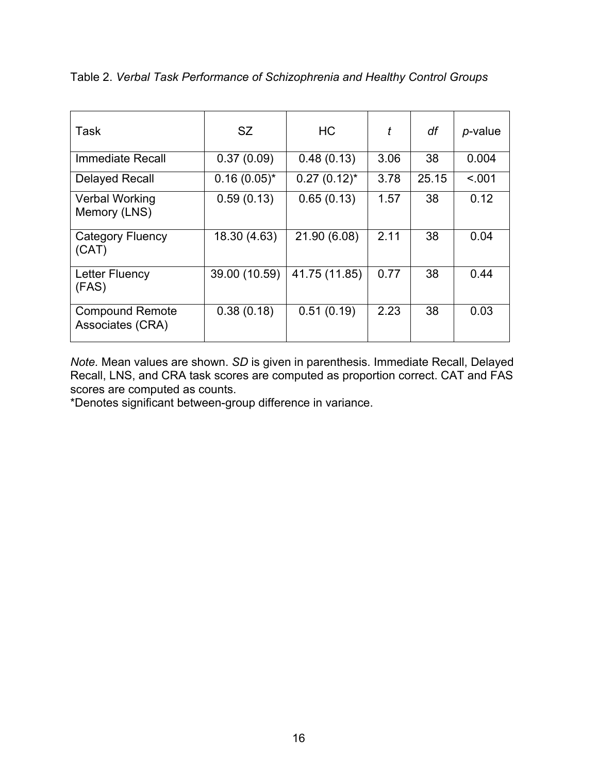| Task                                       | <b>SZ</b>        | <b>HC</b>        | t    | df    | <i>p</i> -value |
|--------------------------------------------|------------------|------------------|------|-------|-----------------|
| <b>Immediate Recall</b>                    | 0.37(0.09)       | 0.48(0.13)       | 3.06 | 38    | 0.004           |
| <b>Delayed Recall</b>                      | $0.16(0.05)^{*}$ | $0.27(0.12)^{*}$ | 3.78 | 25.15 | < 0.01          |
| <b>Verbal Working</b><br>Memory (LNS)      | 0.59(0.13)       | 0.65(0.13)       | 1.57 | 38    | 0.12            |
| Category Fluency<br>(CAT)                  | 18.30 (4.63)     | 21.90 (6.08)     | 2.11 | 38    | 0.04            |
| Letter Fluency<br>(FAS)                    | 39.00 (10.59)    | 41.75 (11.85)    | 0.77 | 38    | 0.44            |
| <b>Compound Remote</b><br>Associates (CRA) | 0.38(0.18)       | 0.51(0.19)       | 2.23 | 38    | 0.03            |

Table 2. *Verbal Task Performance of Schizophrenia and Healthy Control Groups*

*Note.* Mean values are shown. *SD* is given in parenthesis. Immediate Recall, Delayed Recall, LNS, and CRA task scores are computed as proportion correct. CAT and FAS scores are computed as counts.

\*Denotes significant between-group difference in variance.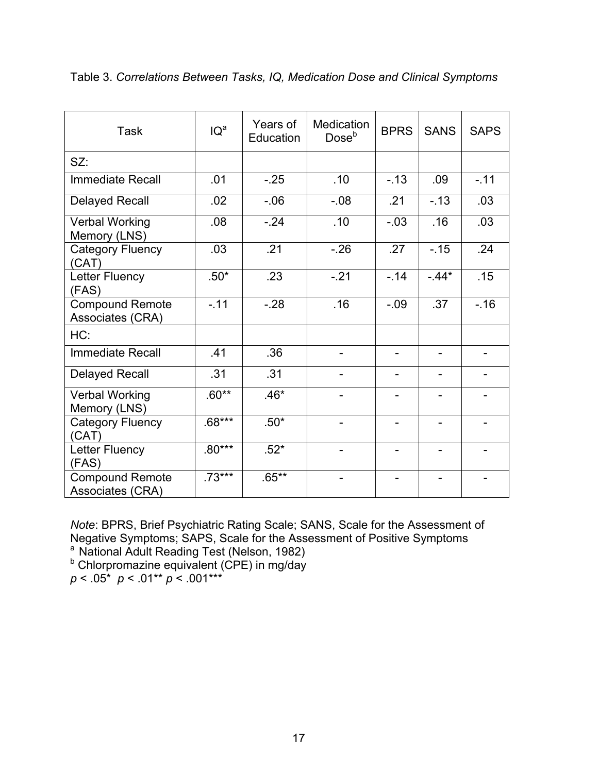| <b>Task</b>                                | IQ <sup>a</sup> | Years of<br>Education | <b>Medication</b><br>Dose <sup>b</sup> | <b>BPRS</b>    | <b>SANS</b>              | <b>SAPS</b>              |
|--------------------------------------------|-----------------|-----------------------|----------------------------------------|----------------|--------------------------|--------------------------|
| SZ:                                        |                 |                       |                                        |                |                          |                          |
| <b>Immediate Recall</b>                    | .01             | $-25$                 | .10                                    | $-13$          | .09                      | $-11$                    |
| <b>Delayed Recall</b>                      | .02             | $-06$                 | $-0.08$                                | .21            | $-13$                    | .03                      |
| <b>Verbal Working</b><br>Memory (LNS)      | .08             | $-.24$                | .10                                    | $-03$          | .16                      | .03                      |
| Category Fluency<br>(CAT)                  | .03             | .21                   | $-26$                                  | .27            | $-15$                    | .24                      |
| Letter Fluency<br>(FAS)                    | $.50*$          | .23                   | $-21$                                  | $-14$          | $-44*$                   | .15                      |
| <b>Compound Remote</b><br>Associates (CRA) | $-11$           | $-.28$                | .16                                    | $-.09$         | .37                      | $-.16$                   |
| HC:                                        |                 |                       |                                        |                |                          |                          |
| <b>Immediate Recall</b>                    | .41             | .36                   | $\overline{\phantom{0}}$               |                | $\overline{\phantom{0}}$ | $\overline{\phantom{0}}$ |
| <b>Delayed Recall</b>                      | .31             | .31                   |                                        |                | $\overline{\phantom{0}}$ |                          |
| <b>Verbal Working</b><br>Memory (LNS)      | $.60**$         | $.46*$                |                                        |                | $\overline{\phantom{0}}$ |                          |
| <b>Category Fluency</b><br>(CAT)           | $.68***$        | $.50*$                | $\overline{a}$                         |                | $\overline{\phantom{0}}$ |                          |
| Letter Fluency<br>(FAS)                    | $.80***$        | $.52*$                | $\overline{a}$                         | $\overline{a}$ | $\blacksquare$           |                          |
| <b>Compound Remote</b><br>Associates (CRA) | $.73***$        | $.65***$              | $\overline{a}$                         |                | $\overline{\phantom{0}}$ |                          |

Table 3. *Correlations Between Tasks, IQ, Medication Dose and Clinical Symptoms*

*Note*: BPRS, Brief Psychiatric Rating Scale; SANS, Scale for the Assessment of Negative Symptoms; SAPS, Scale for the Assessment of Positive Symptoms

a National Adult Reading Test (Nelson, 1982)<br>
b Chlorpromazine equivalent (CPE) in mg/day

 $p < .05^*$   $p < .01^{**}$   $p < .001^{***}$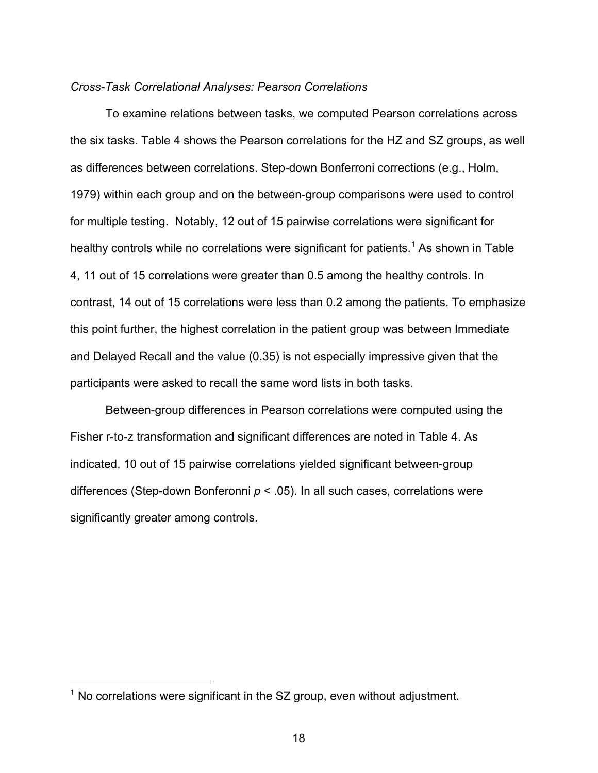# *Cross-Task Correlational Analyses: Pearson Correlations*

To examine relations between tasks, we computed Pearson correlations across the six tasks. Table 4 shows the Pearson correlations for the HZ and SZ groups, as well as differences between correlations. Step-down Bonferroni corrections (e.g., Holm, 1979) within each group and on the between-group comparisons were used to control for multiple testing. Notably, 12 out of 15 pairwise correlations were significant for healthy controls while no correlations were significant for patients.<sup>1</sup> As shown in Table 4, 11 out of 15 correlations were greater than 0.5 among the healthy controls. In contrast, 14 out of 15 correlations were less than 0.2 among the patients. To emphasize this point further, the highest correlation in the patient group was between Immediate and Delayed Recall and the value (0.35) is not especially impressive given that the participants were asked to recall the same word lists in both tasks.

Between-group differences in Pearson correlations were computed using the Fisher r-to-z transformation and significant differences are noted in Table 4. As indicated, 10 out of 15 pairwise correlations yielded significant between-group differences (Step-down Bonferonni *p* < .05). In all such cases, correlations were significantly greater among controls.

 $1$  No correlations were significant in the SZ group, even without adjustment.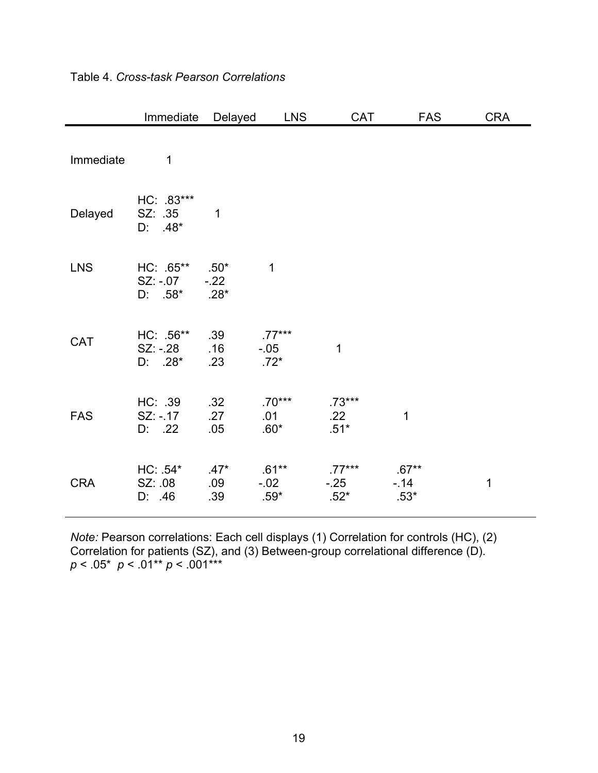|            | Immediate                           | Delayed                    | <b>LNS</b>                    | CAT                         | <b>FAS</b>                 | <b>CRA</b>  |
|------------|-------------------------------------|----------------------------|-------------------------------|-----------------------------|----------------------------|-------------|
| Immediate  | 1                                   |                            |                               |                             |                            |             |
| Delayed    | HC: .83***<br>SZ: .35<br>$D: 48*$   | 1                          |                               |                             |                            |             |
| <b>LNS</b> | HC: .65**<br>$SZ: -.07$<br>$D: 58*$ | $.50*$<br>$-.22$<br>$.28*$ | $\mathbf 1$                   |                             |                            |             |
| <b>CAT</b> | HC: .56**<br>SZ: -.28<br>$D: 28^*$  | .39<br>.16<br>.23          | $.77***$<br>$-0.05$<br>$.72*$ | 1                           |                            |             |
| <b>FAS</b> | HC: .39<br>$SZ: -17$<br>D: .22      | .32<br>.27<br>.05          | $.70***$<br>.01<br>$.60*$     | $.73***$<br>.22<br>$.51*$   | 1                          |             |
| <b>CRA</b> | $HC: .54*$<br>SZ: .08<br>D: 46      | $.47*$<br>.09<br>.39       | $.61***$<br>$-0.02$<br>$.59*$ | $.77***$<br>$-25$<br>$.52*$ | $.67**$<br>$-14$<br>$.53*$ | $\mathbf 1$ |

Table 4. *Cross-task Pearson Correlations* 

*Note:* Pearson correlations: Each cell displays (1) Correlation for controls (HC), (2) Correlation for patients (SZ), and (3) Between-group correlational difference (D). *p* < .05\* *p* < .01\*\* *p* < .001\*\*\*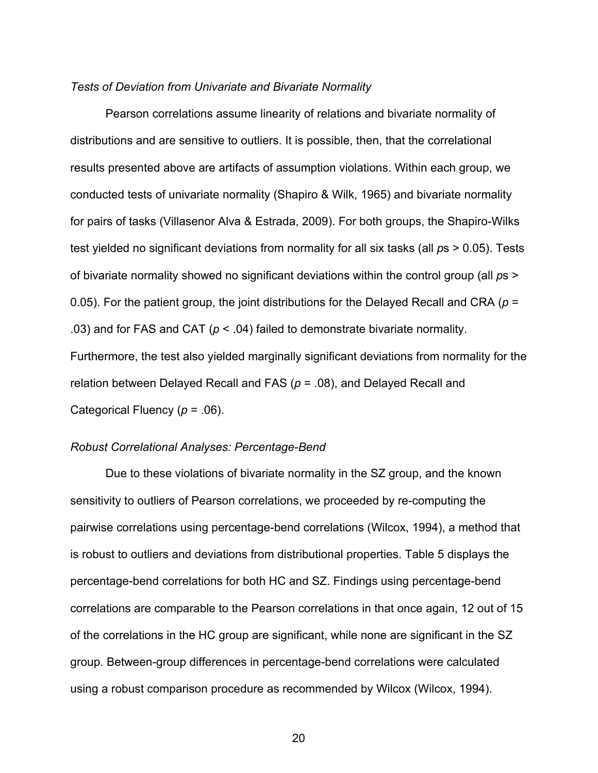# *Tests of Deviation from Univariate and Bivariate Normality*

Pearson correlations assume linearity of relations and bivariate normality of distributions and are sensitive to outliers. It is possible, then, that the correlational results presented above are artifacts of assumption violations. Within each group, we conducted tests of univariate normality (Shapiro & Wilk, 1965) and bivariate normality for pairs of tasks (Villasenor Alva & Estrada, 2009). For both groups, the Shapiro-Wilks test yielded no significant deviations from normality for all six tasks (all *p*s > 0.05). Tests of bivariate normality showed no significant deviations within the control group (all *p*s > 0.05). For the patient group, the joint distributions for the Delayed Recall and CRA (*p* = .03) and for FAS and CAT ( $p < .04$ ) failed to demonstrate bivariate normality. Furthermore, the test also yielded marginally significant deviations from normality for the relation between Delayed Recall and FAS (*p* = .08), and Delayed Recall and Categorical Fluency (*p* = .06).

#### *Robust Correlational Analyses: Percentage-Bend*

Due to these violations of bivariate normality in the SZ group, and the known sensitivity to outliers of Pearson correlations, we proceeded by re-computing the pairwise correlations using percentage-bend correlations (Wilcox, 1994), a method that is robust to outliers and deviations from distributional properties. Table 5 displays the percentage-bend correlations for both HC and SZ. Findings using percentage-bend correlations are comparable to the Pearson correlations in that once again, 12 out of 15 of the correlations in the HC group are significant, while none are significant in the SZ group. Between-group differences in percentage-bend correlations were calculated using a robust comparison procedure as recommended by Wilcox (Wilcox, 1994).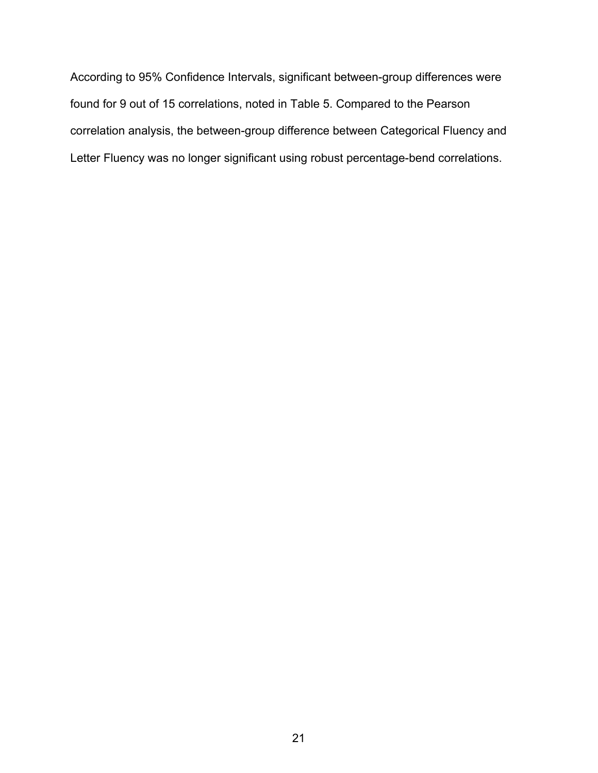According to 95% Confidence Intervals, significant between-group differences were found for 9 out of 15 correlations, noted in Table 5. Compared to the Pearson correlation analysis, the between-group difference between Categorical Fluency and Letter Fluency was no longer significant using robust percentage-bend correlations.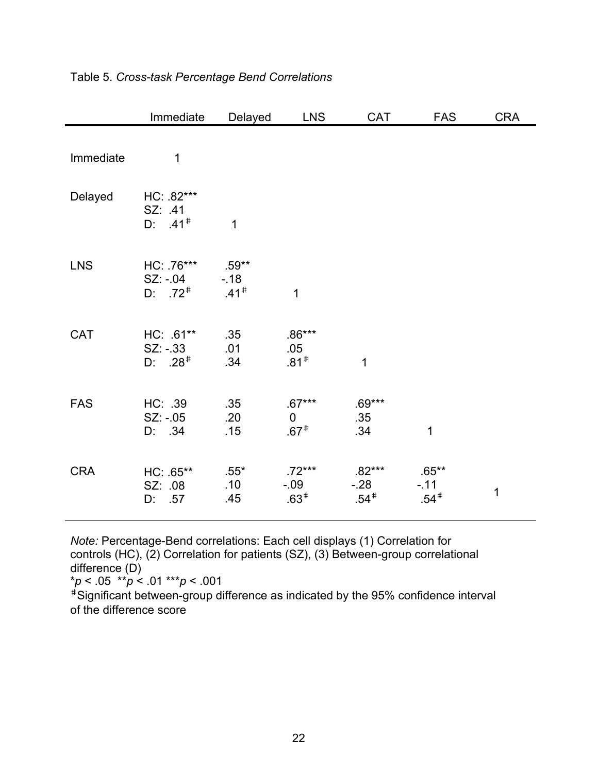|            | Immediate                            | Delayed                                | <b>LNS</b>                        | <b>CAT</b>                  | <b>FAS</b>                  | <b>CRA</b> |
|------------|--------------------------------------|----------------------------------------|-----------------------------------|-----------------------------|-----------------------------|------------|
| Immediate  | 1                                    |                                        |                                   |                             |                             |            |
| Delayed    | HC: .82***<br>SZ: 41<br>$D: 41^*$    | 1                                      |                                   |                             |                             |            |
| <b>LNS</b> | HC: 76***<br>SZ: -.04<br>$D: 72^*$   | $.59**$<br>$-18$<br>$.41$ <sup>#</sup> | 1                                 |                             |                             |            |
| CAT        | HC: .61**<br>$SZ. -33$<br>$D: .28^*$ | .35<br>.01<br>.34                      | $.86***$<br>.05<br>$.81*$         | 1                           |                             |            |
| <b>FAS</b> | HC: .39<br>$SZ: -05$<br>D: .34       | .35<br>.20<br>.15                      | $.67***$<br>$\mathbf 0$<br>$.67*$ | $.69***$<br>.35<br>.34      | 1                           |            |
| <b>CRA</b> | HC: .65**<br>SZ: .08<br>D: .57       | $.55*$<br>.10<br>.45                   | $.72***$<br>$-0.09$<br>$.63*$     | $.82***$<br>$-28$<br>$.54*$ | $.65***$<br>$-11$<br>$.54*$ | 1          |

# Table 5. *Cross-task Percentage Bend Correlations*

*Note:* Percentage-Bend correlations: Each cell displays (1) Correlation for controls (HC), (2) Correlation for patients (SZ), (3) Between-group correlational difference (D)

\**p* < .05 \*\**p* < .01 \*\*\**p* < .001

<sup>♯</sup>Significant between-group difference as indicated by the 95% confidence interval of the difference score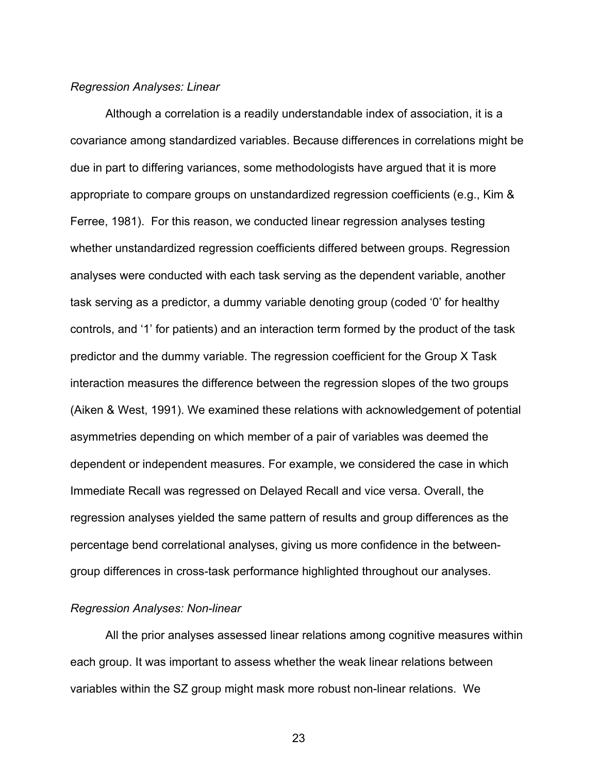#### *Regression Analyses: Linear*

Although a correlation is a readily understandable index of association, it is a covariance among standardized variables. Because differences in correlations might be due in part to differing variances, some methodologists have argued that it is more appropriate to compare groups on unstandardized regression coefficients (e.g., Kim & Ferree, 1981). For this reason, we conducted linear regression analyses testing whether unstandardized regression coefficients differed between groups. Regression analyses were conducted with each task serving as the dependent variable, another task serving as a predictor, a dummy variable denoting group (coded '0' for healthy controls, and '1' for patients) and an interaction term formed by the product of the task predictor and the dummy variable. The regression coefficient for the Group X Task interaction measures the difference between the regression slopes of the two groups (Aiken & West, 1991). We examined these relations with acknowledgement of potential asymmetries depending on which member of a pair of variables was deemed the dependent or independent measures. For example, we considered the case in which Immediate Recall was regressed on Delayed Recall and vice versa. Overall, the regression analyses yielded the same pattern of results and group differences as the percentage bend correlational analyses, giving us more confidence in the betweengroup differences in cross-task performance highlighted throughout our analyses.

#### *Regression Analyses: Non-linear*

All the prior analyses assessed linear relations among cognitive measures within each group. It was important to assess whether the weak linear relations between variables within the SZ group might mask more robust non-linear relations. We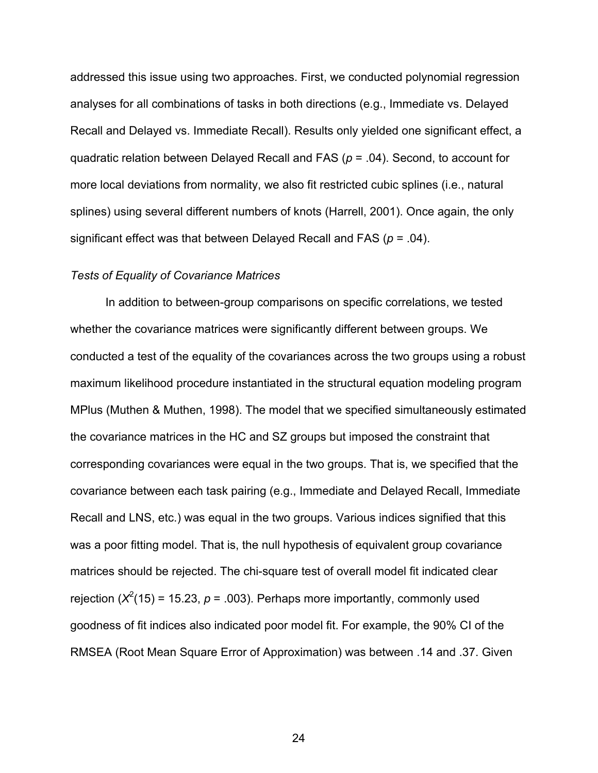addressed this issue using two approaches. First, we conducted polynomial regression analyses for all combinations of tasks in both directions (e.g., Immediate vs. Delayed Recall and Delayed vs. Immediate Recall). Results only yielded one significant effect, a quadratic relation between Delayed Recall and FAS (*p* = .04). Second, to account for more local deviations from normality, we also fit restricted cubic splines (i.e., natural splines) using several different numbers of knots (Harrell, 2001). Once again, the only significant effect was that between Delayed Recall and FAS (*p* = .04).

# *Tests of Equality of Covariance Matrices*

In addition to between-group comparisons on specific correlations, we tested whether the covariance matrices were significantly different between groups. We conducted a test of the equality of the covariances across the two groups using a robust maximum likelihood procedure instantiated in the structural equation modeling program MPlus (Muthen & Muthen, 1998). The model that we specified simultaneously estimated the covariance matrices in the HC and SZ groups but imposed the constraint that corresponding covariances were equal in the two groups. That is, we specified that the covariance between each task pairing (e.g., Immediate and Delayed Recall, Immediate Recall and LNS, etc.) was equal in the two groups. Various indices signified that this was a poor fitting model. That is, the null hypothesis of equivalent group covariance matrices should be rejected. The chi-square test of overall model fit indicated clear rejection ( $X^2(15)$  = 15.23,  $p$  = .003). Perhaps more importantly, commonly used goodness of fit indices also indicated poor model fit. For example, the 90% CI of the RMSEA (Root Mean Square Error of Approximation) was between .14 and .37. Given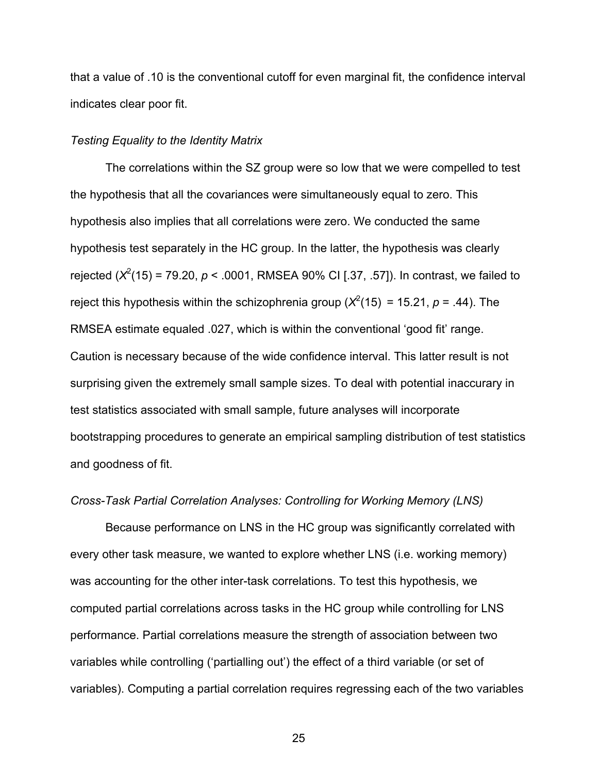that a value of .10 is the conventional cutoff for even marginal fit, the confidence interval indicates clear poor fit.

# *Testing Equality to the Identity Matrix*

The correlations within the SZ group were so low that we were compelled to test the hypothesis that all the covariances were simultaneously equal to zero. This hypothesis also implies that all correlations were zero. We conducted the same hypothesis test separately in the HC group. In the latter, the hypothesis was clearly rejected  $(X^2(15) = 79.20, p < .0001, RMSEA 90% CI [.37, .57]$ ). In contrast, we failed to reject this hypothesis within the schizophrenia group ( $X^2(15) = 15.21$ ,  $p = .44$ ). The RMSEA estimate equaled .027, which is within the conventional 'good fit' range. Caution is necessary because of the wide confidence interval. This latter result is not surprising given the extremely small sample sizes. To deal with potential inaccurary in test statistics associated with small sample, future analyses will incorporate bootstrapping procedures to generate an empirical sampling distribution of test statistics and goodness of fit.

# *Cross-Task Partial Correlation Analyses: Controlling for Working Memory (LNS)*

Because performance on LNS in the HC group was significantly correlated with every other task measure, we wanted to explore whether LNS (i.e. working memory) was accounting for the other inter-task correlations. To test this hypothesis, we computed partial correlations across tasks in the HC group while controlling for LNS performance. Partial correlations measure the strength of association between two variables while controlling ('partialling out') the effect of a third variable (or set of variables). Computing a partial correlation requires regressing each of the two variables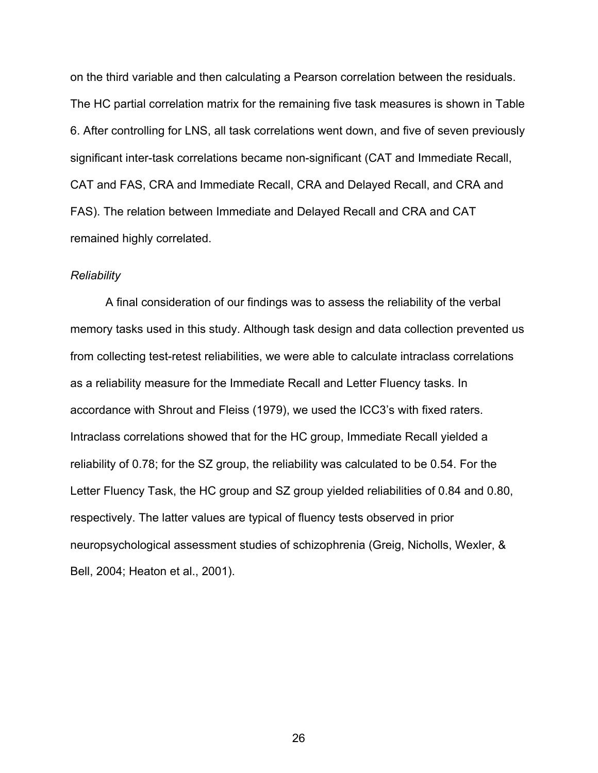on the third variable and then calculating a Pearson correlation between the residuals. The HC partial correlation matrix for the remaining five task measures is shown in Table 6. After controlling for LNS, all task correlations went down, and five of seven previously significant inter-task correlations became non-significant (CAT and Immediate Recall, CAT and FAS, CRA and Immediate Recall, CRA and Delayed Recall, and CRA and FAS). The relation between Immediate and Delayed Recall and CRA and CAT remained highly correlated.

#### *Reliability*

A final consideration of our findings was to assess the reliability of the verbal memory tasks used in this study. Although task design and data collection prevented us from collecting test-retest reliabilities, we were able to calculate intraclass correlations as a reliability measure for the Immediate Recall and Letter Fluency tasks. In accordance with Shrout and Fleiss (1979), we used the ICC3's with fixed raters. Intraclass correlations showed that for the HC group, Immediate Recall yielded a reliability of 0.78; for the SZ group, the reliability was calculated to be 0.54. For the Letter Fluency Task, the HC group and SZ group yielded reliabilities of 0.84 and 0.80, respectively. The latter values are typical of fluency tests observed in prior neuropsychological assessment studies of schizophrenia (Greig, Nicholls, Wexler, & Bell, 2004; Heaton et al., 2001).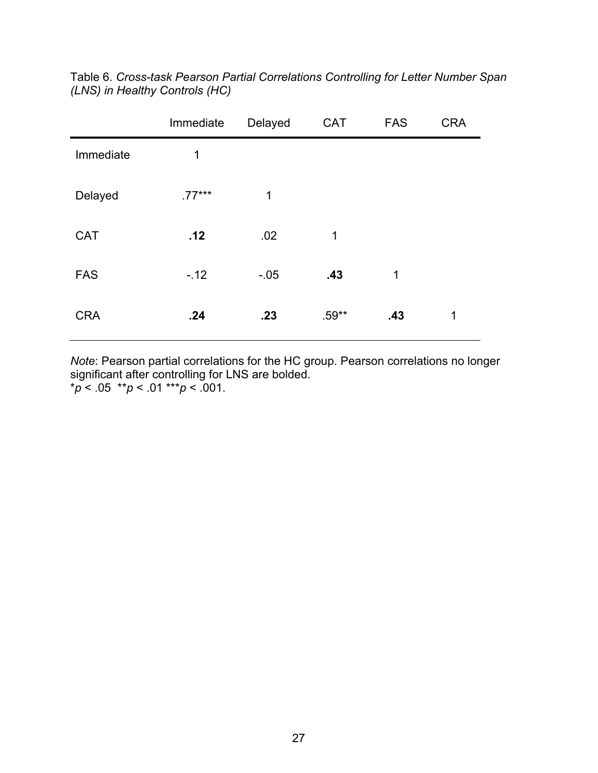|            | Immediate   | Delayed | <b>CAT</b> | <b>FAS</b> | <b>CRA</b> |
|------------|-------------|---------|------------|------------|------------|
| Immediate  | $\mathbf 1$ |         |            |            |            |
| Delayed    | $.77***$    | 1       |            |            |            |
| <b>CAT</b> | .12         | .02     | 1          |            |            |
| <b>FAS</b> | $-12$       | $-0.05$ | .43        | 1          |            |
| <b>CRA</b> | .24         | .23     | $.59**$    | .43        | 1          |

Table 6. *Cross-task Pearson Partial Correlations Controlling for Letter Number Span (LNS) in Healthy Controls (HC)*

*Note*: Pearson partial correlations for the HC group. Pearson correlations no longer significant after controlling for LNS are bolded. \**p* < .05 \*\**p* < .01 \*\*\**p* < .001.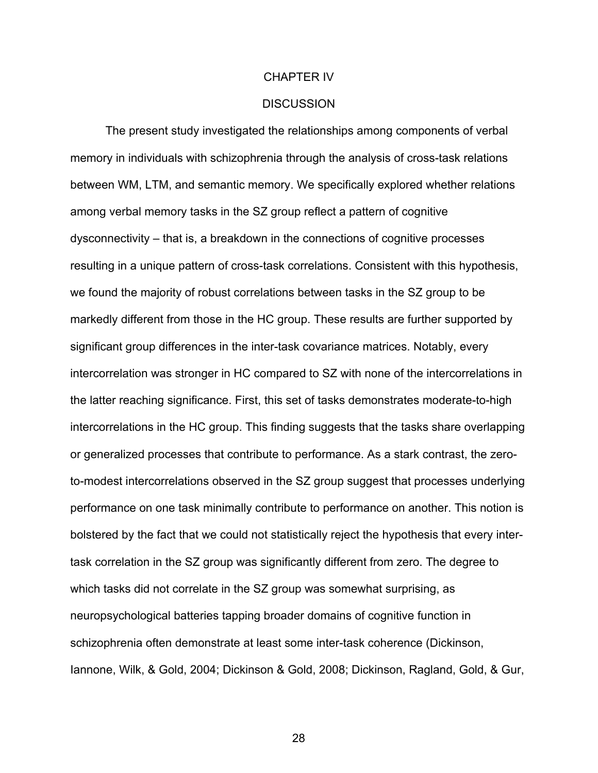#### CHAPTER IV

#### **DISCUSSION**

The present study investigated the relationships among components of verbal memory in individuals with schizophrenia through the analysis of cross-task relations between WM, LTM, and semantic memory. We specifically explored whether relations among verbal memory tasks in the SZ group reflect a pattern of cognitive dysconnectivity – that is, a breakdown in the connections of cognitive processes resulting in a unique pattern of cross-task correlations. Consistent with this hypothesis, we found the majority of robust correlations between tasks in the SZ group to be markedly different from those in the HC group. These results are further supported by significant group differences in the inter-task covariance matrices. Notably, every intercorrelation was stronger in HC compared to SZ with none of the intercorrelations in the latter reaching significance. First, this set of tasks demonstrates moderate-to-high intercorrelations in the HC group. This finding suggests that the tasks share overlapping or generalized processes that contribute to performance. As a stark contrast, the zeroto-modest intercorrelations observed in the SZ group suggest that processes underlying performance on one task minimally contribute to performance on another. This notion is bolstered by the fact that we could not statistically reject the hypothesis that every intertask correlation in the SZ group was significantly different from zero. The degree to which tasks did not correlate in the SZ group was somewhat surprising, as neuropsychological batteries tapping broader domains of cognitive function in schizophrenia often demonstrate at least some inter-task coherence (Dickinson, Iannone, Wilk, & Gold, 2004; Dickinson & Gold, 2008; Dickinson, Ragland, Gold, & Gur,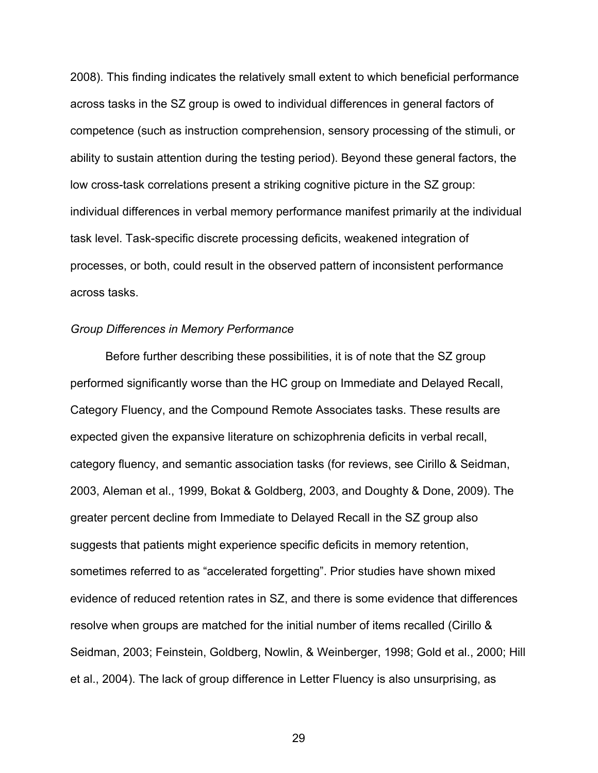2008). This finding indicates the relatively small extent to which beneficial performance across tasks in the SZ group is owed to individual differences in general factors of competence (such as instruction comprehension, sensory processing of the stimuli, or ability to sustain attention during the testing period). Beyond these general factors, the low cross-task correlations present a striking cognitive picture in the SZ group: individual differences in verbal memory performance manifest primarily at the individual task level. Task-specific discrete processing deficits, weakened integration of processes, or both, could result in the observed pattern of inconsistent performance across tasks.

#### *Group Differences in Memory Performance*

Before further describing these possibilities, it is of note that the SZ group performed significantly worse than the HC group on Immediate and Delayed Recall, Category Fluency, and the Compound Remote Associates tasks. These results are expected given the expansive literature on schizophrenia deficits in verbal recall, category fluency, and semantic association tasks (for reviews, see Cirillo & Seidman, 2003, Aleman et al., 1999, Bokat & Goldberg, 2003, and Doughty & Done, 2009). The greater percent decline from Immediate to Delayed Recall in the SZ group also suggests that patients might experience specific deficits in memory retention, sometimes referred to as "accelerated forgetting". Prior studies have shown mixed evidence of reduced retention rates in SZ, and there is some evidence that differences resolve when groups are matched for the initial number of items recalled (Cirillo & Seidman, 2003; Feinstein, Goldberg, Nowlin, & Weinberger, 1998; Gold et al., 2000; Hill et al., 2004). The lack of group difference in Letter Fluency is also unsurprising, as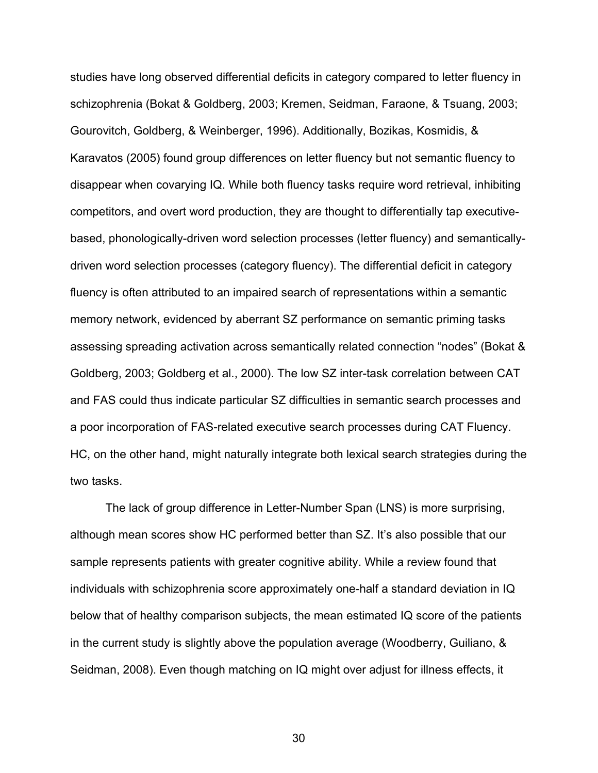studies have long observed differential deficits in category compared to letter fluency in schizophrenia (Bokat & Goldberg, 2003; Kremen, Seidman, Faraone, & Tsuang, 2003; Gourovitch, Goldberg, & Weinberger, 1996). Additionally, Bozikas, Kosmidis, & Karavatos (2005) found group differences on letter fluency but not semantic fluency to disappear when covarying IQ. While both fluency tasks require word retrieval, inhibiting competitors, and overt word production, they are thought to differentially tap executivebased, phonologically-driven word selection processes (letter fluency) and semanticallydriven word selection processes (category fluency). The differential deficit in category fluency is often attributed to an impaired search of representations within a semantic memory network, evidenced by aberrant SZ performance on semantic priming tasks assessing spreading activation across semantically related connection "nodes" (Bokat & Goldberg, 2003; Goldberg et al., 2000). The low SZ inter-task correlation between CAT and FAS could thus indicate particular SZ difficulties in semantic search processes and a poor incorporation of FAS-related executive search processes during CAT Fluency. HC, on the other hand, might naturally integrate both lexical search strategies during the two tasks.

The lack of group difference in Letter-Number Span (LNS) is more surprising, although mean scores show HC performed better than SZ. It's also possible that our sample represents patients with greater cognitive ability. While a review found that individuals with schizophrenia score approximately one-half a standard deviation in IQ below that of healthy comparison subjects, the mean estimated IQ score of the patients in the current study is slightly above the population average (Woodberry, Guiliano, & Seidman, 2008). Even though matching on IQ might over adjust for illness effects, it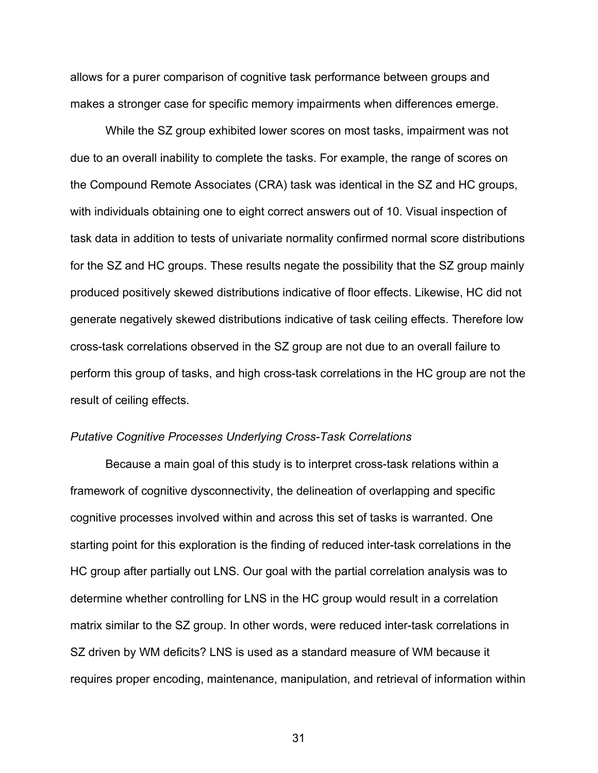allows for a purer comparison of cognitive task performance between groups and makes a stronger case for specific memory impairments when differences emerge.

While the SZ group exhibited lower scores on most tasks, impairment was not due to an overall inability to complete the tasks. For example, the range of scores on the Compound Remote Associates (CRA) task was identical in the SZ and HC groups, with individuals obtaining one to eight correct answers out of 10. Visual inspection of task data in addition to tests of univariate normality confirmed normal score distributions for the SZ and HC groups. These results negate the possibility that the SZ group mainly produced positively skewed distributions indicative of floor effects. Likewise, HC did not generate negatively skewed distributions indicative of task ceiling effects. Therefore low cross-task correlations observed in the SZ group are not due to an overall failure to perform this group of tasks, and high cross-task correlations in the HC group are not the result of ceiling effects.

## *Putative Cognitive Processes Underlying Cross-Task Correlations*

Because a main goal of this study is to interpret cross-task relations within a framework of cognitive dysconnectivity, the delineation of overlapping and specific cognitive processes involved within and across this set of tasks is warranted. One starting point for this exploration is the finding of reduced inter-task correlations in the HC group after partially out LNS. Our goal with the partial correlation analysis was to determine whether controlling for LNS in the HC group would result in a correlation matrix similar to the SZ group. In other words, were reduced inter-task correlations in SZ driven by WM deficits? LNS is used as a standard measure of WM because it requires proper encoding, maintenance, manipulation, and retrieval of information within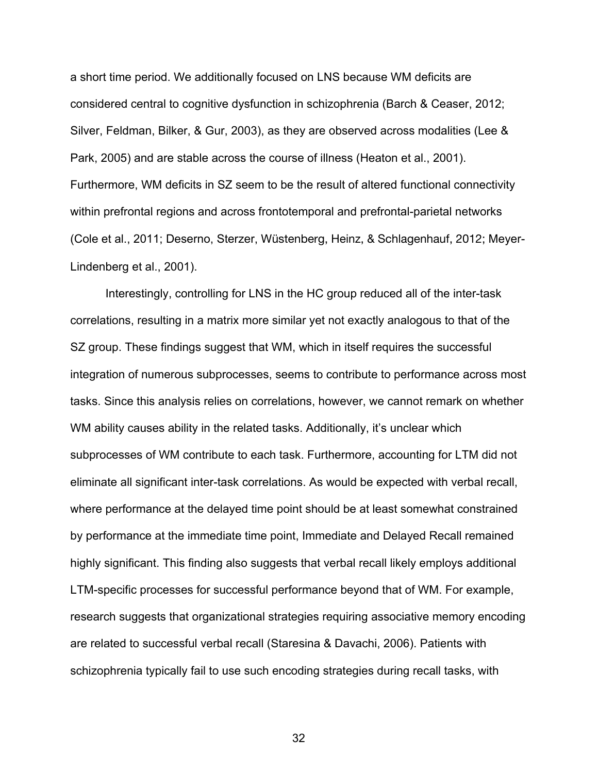a short time period. We additionally focused on LNS because WM deficits are considered central to cognitive dysfunction in schizophrenia (Barch & Ceaser, 2012; Silver, Feldman, Bilker, & Gur, 2003), as they are observed across modalities (Lee & Park, 2005) and are stable across the course of illness (Heaton et al., 2001). Furthermore, WM deficits in SZ seem to be the result of altered functional connectivity within prefrontal regions and across frontotemporal and prefrontal-parietal networks (Cole et al., 2011; Deserno, Sterzer, Wüstenberg, Heinz, & Schlagenhauf, 2012; Meyer-Lindenberg et al., 2001).

Interestingly, controlling for LNS in the HC group reduced all of the inter-task correlations, resulting in a matrix more similar yet not exactly analogous to that of the SZ group. These findings suggest that WM, which in itself requires the successful integration of numerous subprocesses, seems to contribute to performance across most tasks. Since this analysis relies on correlations, however, we cannot remark on whether WM ability causes ability in the related tasks. Additionally, it's unclear which subprocesses of WM contribute to each task. Furthermore, accounting for LTM did not eliminate all significant inter-task correlations. As would be expected with verbal recall, where performance at the delayed time point should be at least somewhat constrained by performance at the immediate time point, Immediate and Delayed Recall remained highly significant. This finding also suggests that verbal recall likely employs additional LTM-specific processes for successful performance beyond that of WM. For example, research suggests that organizational strategies requiring associative memory encoding are related to successful verbal recall (Staresina & Davachi, 2006). Patients with schizophrenia typically fail to use such encoding strategies during recall tasks, with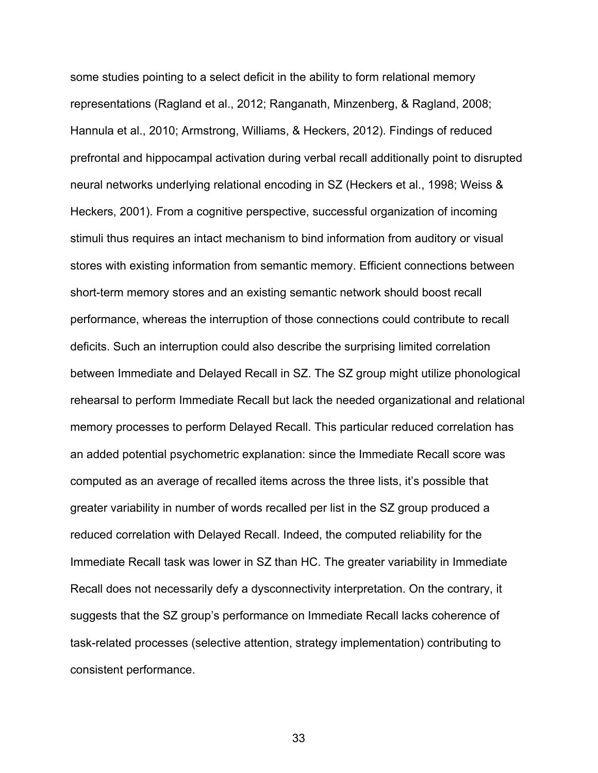some studies pointing to a select deficit in the ability to form relational memory representations (Ragland et al., 2012; Ranganath, Minzenberg, & Ragland, 2008; Hannula et al., 2010; Armstrong, Williams, & Heckers, 2012). Findings of reduced prefrontal and hippocampal activation during verbal recall additionally point to disrupted neural networks underlying relational encoding in SZ (Heckers et al., 1998; Weiss & Heckers, 2001). From a cognitive perspective, successful organization of incoming stimuli thus requires an intact mechanism to bind information from auditory or visual stores with existing information from semantic memory. Efficient connections between short-term memory stores and an existing semantic network should boost recall performance, whereas the interruption of those connections could contribute to recall deficits. Such an interruption could also describe the surprising limited correlation between Immediate and Delayed Recall in SZ. The SZ group might utilize phonological rehearsal to perform Immediate Recall but lack the needed organizational and relational memory processes to perform Delayed Recall. This particular reduced correlation has an added potential psychometric explanation: since the Immediate Recall score was computed as an average of recalled items across the three lists, it's possible that greater variability in number of words recalled per list in the SZ group produced a reduced correlation with Delayed Recall. Indeed, the computed reliability for the Immediate Recall task was lower in SZ than HC. The greater variability in Immediate Recall does not necessarily defy a dysconnectivity interpretation. On the contrary, it suggests that the SZ group's performance on Immediate Recall lacks coherence of task-related processes (selective attention, strategy implementation) contributing to consistent performance.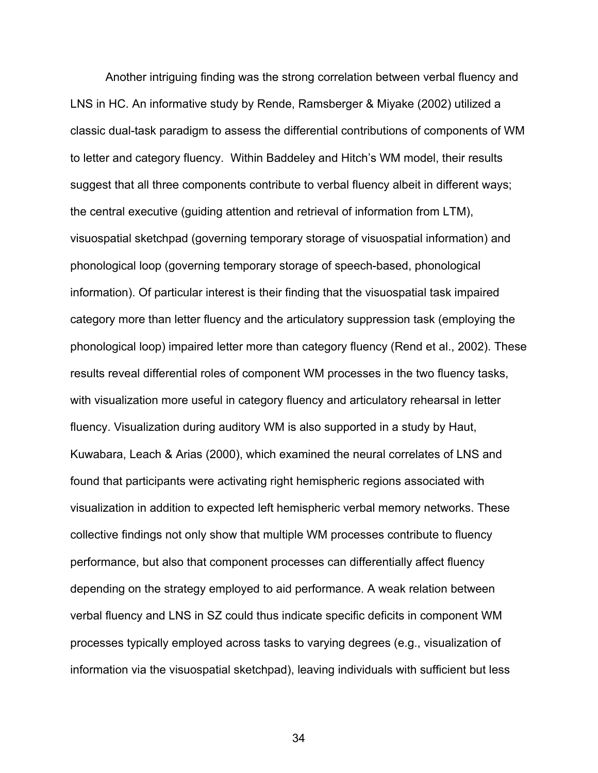Another intriguing finding was the strong correlation between verbal fluency and LNS in HC. An informative study by Rende, Ramsberger & Miyake (2002) utilized a classic dual-task paradigm to assess the differential contributions of components of WM to letter and category fluency. Within Baddeley and Hitch's WM model, their results suggest that all three components contribute to verbal fluency albeit in different ways; the central executive (guiding attention and retrieval of information from LTM), visuospatial sketchpad (governing temporary storage of visuospatial information) and phonological loop (governing temporary storage of speech-based, phonological information). Of particular interest is their finding that the visuospatial task impaired category more than letter fluency and the articulatory suppression task (employing the phonological loop) impaired letter more than category fluency (Rend et al., 2002). These results reveal differential roles of component WM processes in the two fluency tasks, with visualization more useful in category fluency and articulatory rehearsal in letter fluency. Visualization during auditory WM is also supported in a study by Haut, Kuwabara, Leach & Arias (2000), which examined the neural correlates of LNS and found that participants were activating right hemispheric regions associated with visualization in addition to expected left hemispheric verbal memory networks. These collective findings not only show that multiple WM processes contribute to fluency performance, but also that component processes can differentially affect fluency depending on the strategy employed to aid performance. A weak relation between verbal fluency and LNS in SZ could thus indicate specific deficits in component WM processes typically employed across tasks to varying degrees (e.g., visualization of information via the visuospatial sketchpad), leaving individuals with sufficient but less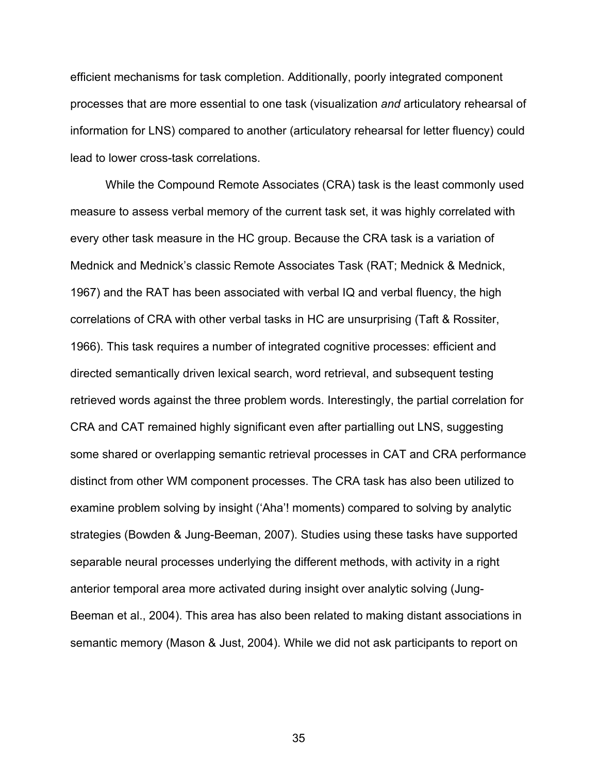efficient mechanisms for task completion. Additionally, poorly integrated component processes that are more essential to one task (visualization *and* articulatory rehearsal of information for LNS) compared to another (articulatory rehearsal for letter fluency) could lead to lower cross-task correlations.

While the Compound Remote Associates (CRA) task is the least commonly used measure to assess verbal memory of the current task set, it was highly correlated with every other task measure in the HC group. Because the CRA task is a variation of Mednick and Mednick's classic Remote Associates Task (RAT; Mednick & Mednick, 1967) and the RAT has been associated with verbal IQ and verbal fluency, the high correlations of CRA with other verbal tasks in HC are unsurprising (Taft & Rossiter, 1966). This task requires a number of integrated cognitive processes: efficient and directed semantically driven lexical search, word retrieval, and subsequent testing retrieved words against the three problem words. Interestingly, the partial correlation for CRA and CAT remained highly significant even after partialling out LNS, suggesting some shared or overlapping semantic retrieval processes in CAT and CRA performance distinct from other WM component processes. The CRA task has also been utilized to examine problem solving by insight ('Aha'! moments) compared to solving by analytic strategies (Bowden & Jung-Beeman, 2007). Studies using these tasks have supported separable neural processes underlying the different methods, with activity in a right anterior temporal area more activated during insight over analytic solving (Jung-Beeman et al., 2004). This area has also been related to making distant associations in semantic memory (Mason & Just, 2004). While we did not ask participants to report on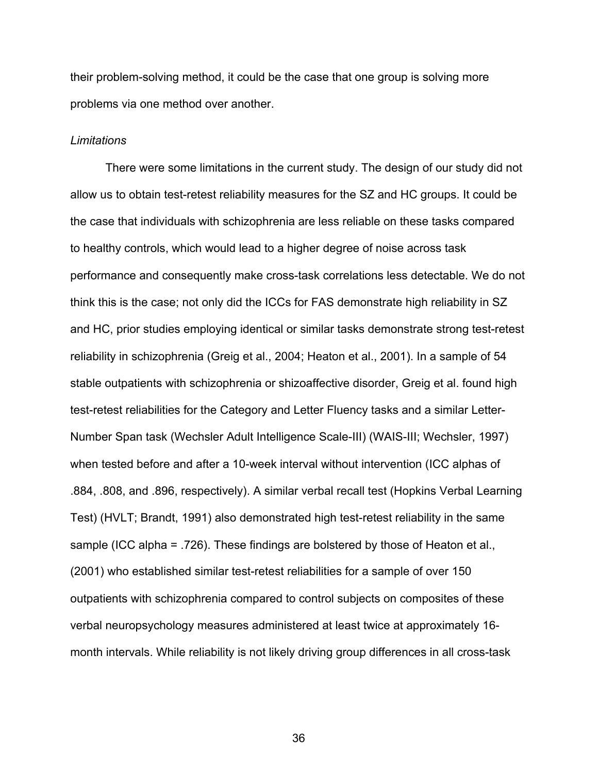their problem-solving method, it could be the case that one group is solving more problems via one method over another.

# *Limitations*

There were some limitations in the current study. The design of our study did not allow us to obtain test-retest reliability measures for the SZ and HC groups. It could be the case that individuals with schizophrenia are less reliable on these tasks compared to healthy controls, which would lead to a higher degree of noise across task performance and consequently make cross-task correlations less detectable. We do not think this is the case; not only did the ICCs for FAS demonstrate high reliability in SZ and HC, prior studies employing identical or similar tasks demonstrate strong test-retest reliability in schizophrenia (Greig et al., 2004; Heaton et al., 2001). In a sample of 54 stable outpatients with schizophrenia or shizoaffective disorder, Greig et al. found high test-retest reliabilities for the Category and Letter Fluency tasks and a similar Letter-Number Span task (Wechsler Adult Intelligence Scale-III) (WAIS-III; Wechsler, 1997) when tested before and after a 10-week interval without intervention (ICC alphas of .884, .808, and .896, respectively). A similar verbal recall test (Hopkins Verbal Learning Test) (HVLT; Brandt, 1991) also demonstrated high test-retest reliability in the same sample (ICC alpha = .726). These findings are bolstered by those of Heaton et al., (2001) who established similar test-retest reliabilities for a sample of over 150 outpatients with schizophrenia compared to control subjects on composites of these verbal neuropsychology measures administered at least twice at approximately 16 month intervals. While reliability is not likely driving group differences in all cross-task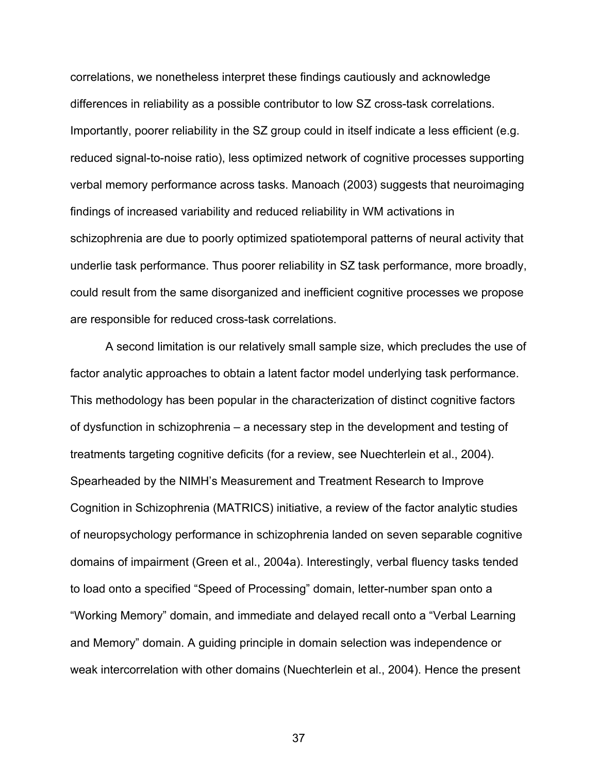correlations, we nonetheless interpret these findings cautiously and acknowledge differences in reliability as a possible contributor to low SZ cross-task correlations. Importantly, poorer reliability in the SZ group could in itself indicate a less efficient (e.g. reduced signal-to-noise ratio), less optimized network of cognitive processes supporting verbal memory performance across tasks. Manoach (2003) suggests that neuroimaging findings of increased variability and reduced reliability in WM activations in schizophrenia are due to poorly optimized spatiotemporal patterns of neural activity that underlie task performance. Thus poorer reliability in SZ task performance, more broadly, could result from the same disorganized and inefficient cognitive processes we propose are responsible for reduced cross-task correlations.

A second limitation is our relatively small sample size, which precludes the use of factor analytic approaches to obtain a latent factor model underlying task performance. This methodology has been popular in the characterization of distinct cognitive factors of dysfunction in schizophrenia – a necessary step in the development and testing of treatments targeting cognitive deficits (for a review, see Nuechterlein et al., 2004). Spearheaded by the NIMH's Measurement and Treatment Research to Improve Cognition in Schizophrenia (MATRICS) initiative, a review of the factor analytic studies of neuropsychology performance in schizophrenia landed on seven separable cognitive domains of impairment (Green et al., 2004a). Interestingly, verbal fluency tasks tended to load onto a specified "Speed of Processing" domain, letter-number span onto a "Working Memory" domain, and immediate and delayed recall onto a "Verbal Learning and Memory" domain. A guiding principle in domain selection was independence or weak intercorrelation with other domains (Nuechterlein et al., 2004). Hence the present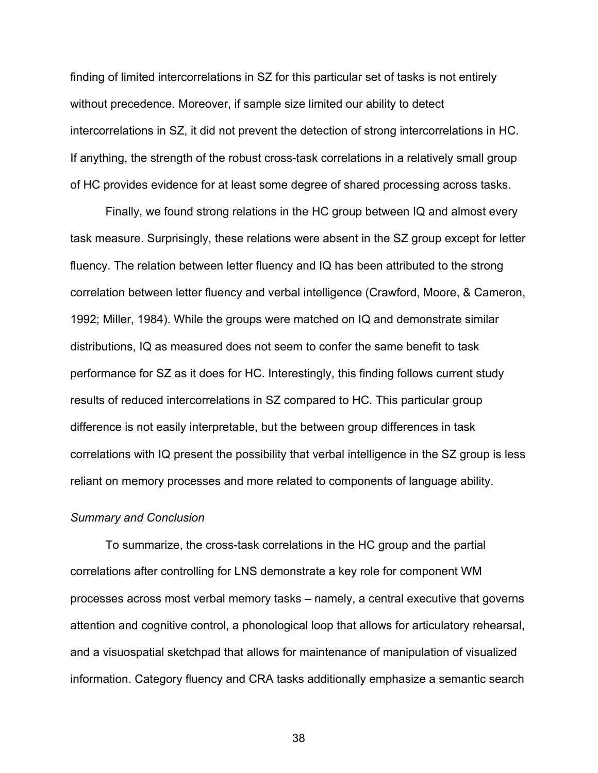finding of limited intercorrelations in SZ for this particular set of tasks is not entirely without precedence. Moreover, if sample size limited our ability to detect intercorrelations in SZ, it did not prevent the detection of strong intercorrelations in HC. If anything, the strength of the robust cross-task correlations in a relatively small group of HC provides evidence for at least some degree of shared processing across tasks.

Finally, we found strong relations in the HC group between IQ and almost every task measure. Surprisingly, these relations were absent in the SZ group except for letter fluency. The relation between letter fluency and IQ has been attributed to the strong correlation between letter fluency and verbal intelligence (Crawford, Moore, & Cameron, 1992; Miller, 1984). While the groups were matched on IQ and demonstrate similar distributions, IQ as measured does not seem to confer the same benefit to task performance for SZ as it does for HC. Interestingly, this finding follows current study results of reduced intercorrelations in SZ compared to HC. This particular group difference is not easily interpretable, but the between group differences in task correlations with IQ present the possibility that verbal intelligence in the SZ group is less reliant on memory processes and more related to components of language ability.

#### *Summary and Conclusion*

To summarize, the cross-task correlations in the HC group and the partial correlations after controlling for LNS demonstrate a key role for component WM processes across most verbal memory tasks – namely, a central executive that governs attention and cognitive control, a phonological loop that allows for articulatory rehearsal, and a visuospatial sketchpad that allows for maintenance of manipulation of visualized information. Category fluency and CRA tasks additionally emphasize a semantic search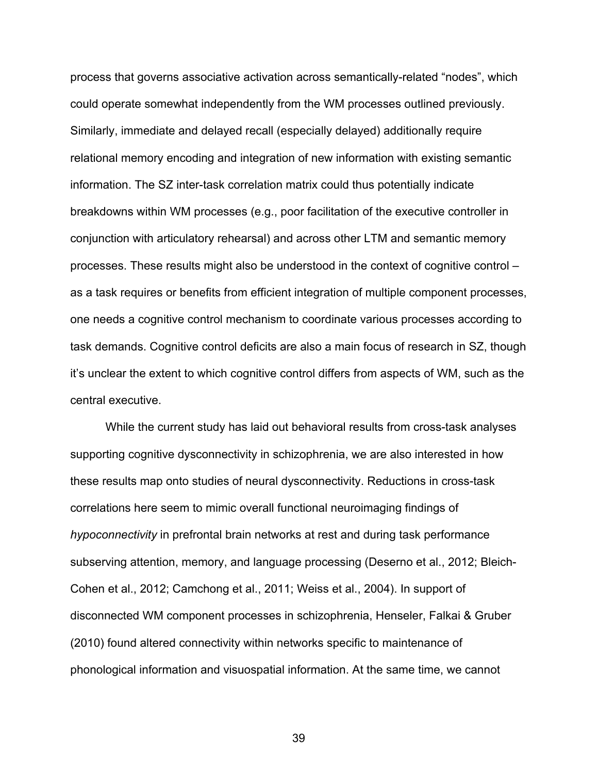process that governs associative activation across semantically-related "nodes", which could operate somewhat independently from the WM processes outlined previously. Similarly, immediate and delayed recall (especially delayed) additionally require relational memory encoding and integration of new information with existing semantic information. The SZ inter-task correlation matrix could thus potentially indicate breakdowns within WM processes (e.g., poor facilitation of the executive controller in conjunction with articulatory rehearsal) and across other LTM and semantic memory processes. These results might also be understood in the context of cognitive control – as a task requires or benefits from efficient integration of multiple component processes, one needs a cognitive control mechanism to coordinate various processes according to task demands. Cognitive control deficits are also a main focus of research in SZ, though it's unclear the extent to which cognitive control differs from aspects of WM, such as the central executive.

While the current study has laid out behavioral results from cross-task analyses supporting cognitive dysconnectivity in schizophrenia, we are also interested in how these results map onto studies of neural dysconnectivity. Reductions in cross-task correlations here seem to mimic overall functional neuroimaging findings of *hypoconnectivity* in prefrontal brain networks at rest and during task performance subserving attention, memory, and language processing (Deserno et al., 2012; Bleich-Cohen et al., 2012; Camchong et al., 2011; Weiss et al., 2004). In support of disconnected WM component processes in schizophrenia, Henseler, Falkai & Gruber (2010) found altered connectivity within networks specific to maintenance of phonological information and visuospatial information. At the same time, we cannot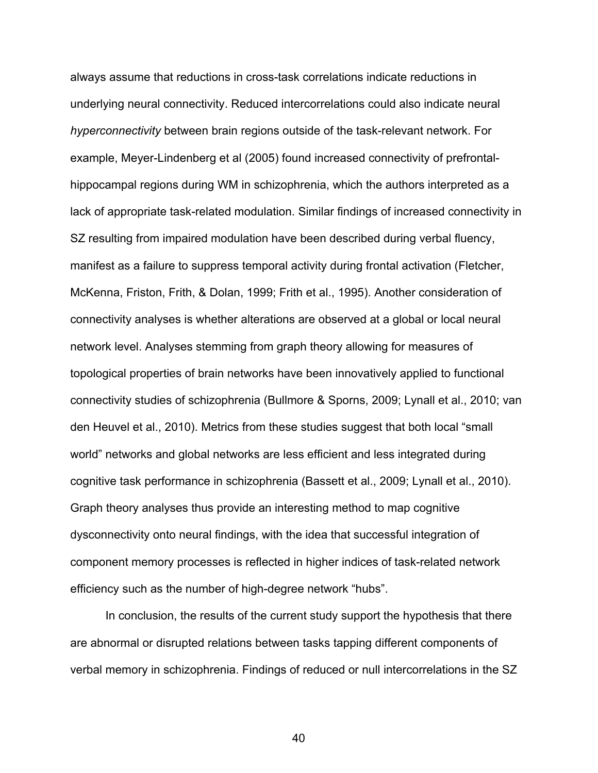always assume that reductions in cross-task correlations indicate reductions in underlying neural connectivity. Reduced intercorrelations could also indicate neural *hyperconnectivity* between brain regions outside of the task-relevant network. For example, Meyer-Lindenberg et al (2005) found increased connectivity of prefrontalhippocampal regions during WM in schizophrenia, which the authors interpreted as a lack of appropriate task-related modulation. Similar findings of increased connectivity in SZ resulting from impaired modulation have been described during verbal fluency, manifest as a failure to suppress temporal activity during frontal activation (Fletcher, McKenna, Friston, Frith, & Dolan, 1999; Frith et al., 1995). Another consideration of connectivity analyses is whether alterations are observed at a global or local neural network level. Analyses stemming from graph theory allowing for measures of topological properties of brain networks have been innovatively applied to functional connectivity studies of schizophrenia (Bullmore & Sporns, 2009; Lynall et al., 2010; van den Heuvel et al., 2010). Metrics from these studies suggest that both local "small world" networks and global networks are less efficient and less integrated during cognitive task performance in schizophrenia (Bassett et al., 2009; Lynall et al., 2010). Graph theory analyses thus provide an interesting method to map cognitive dysconnectivity onto neural findings, with the idea that successful integration of component memory processes is reflected in higher indices of task-related network efficiency such as the number of high-degree network "hubs".

In conclusion, the results of the current study support the hypothesis that there are abnormal or disrupted relations between tasks tapping different components of verbal memory in schizophrenia. Findings of reduced or null intercorrelations in the SZ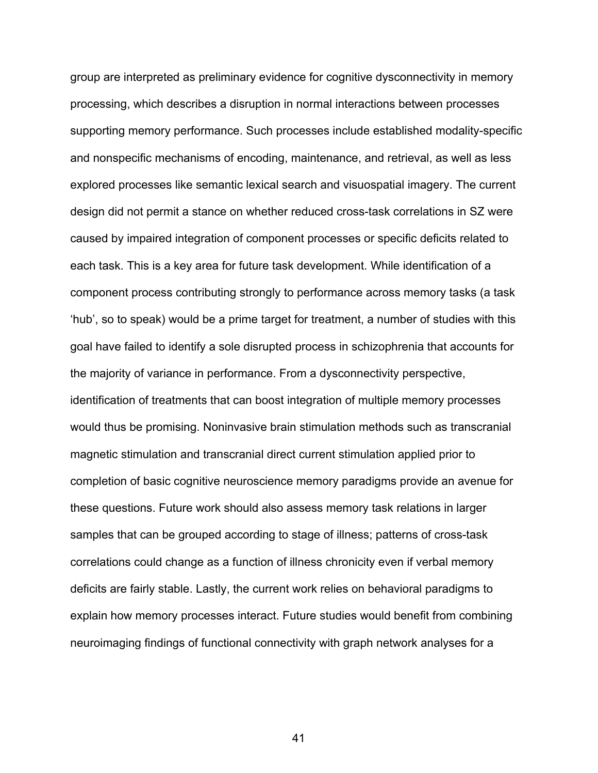group are interpreted as preliminary evidence for cognitive dysconnectivity in memory processing, which describes a disruption in normal interactions between processes supporting memory performance. Such processes include established modality-specific and nonspecific mechanisms of encoding, maintenance, and retrieval, as well as less explored processes like semantic lexical search and visuospatial imagery. The current design did not permit a stance on whether reduced cross-task correlations in SZ were caused by impaired integration of component processes or specific deficits related to each task. This is a key area for future task development. While identification of a component process contributing strongly to performance across memory tasks (a task 'hub', so to speak) would be a prime target for treatment, a number of studies with this goal have failed to identify a sole disrupted process in schizophrenia that accounts for the majority of variance in performance. From a dysconnectivity perspective, identification of treatments that can boost integration of multiple memory processes would thus be promising. Noninvasive brain stimulation methods such as transcranial magnetic stimulation and transcranial direct current stimulation applied prior to completion of basic cognitive neuroscience memory paradigms provide an avenue for these questions. Future work should also assess memory task relations in larger samples that can be grouped according to stage of illness; patterns of cross-task correlations could change as a function of illness chronicity even if verbal memory deficits are fairly stable. Lastly, the current work relies on behavioral paradigms to explain how memory processes interact. Future studies would benefit from combining neuroimaging findings of functional connectivity with graph network analyses for a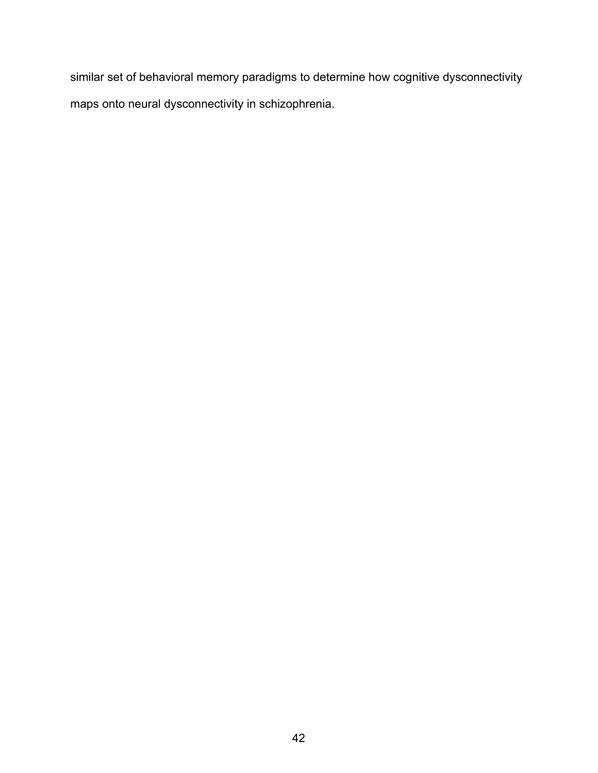similar set of behavioral memory paradigms to determine how cognitive dysconnectivity maps onto neural dysconnectivity in schizophrenia.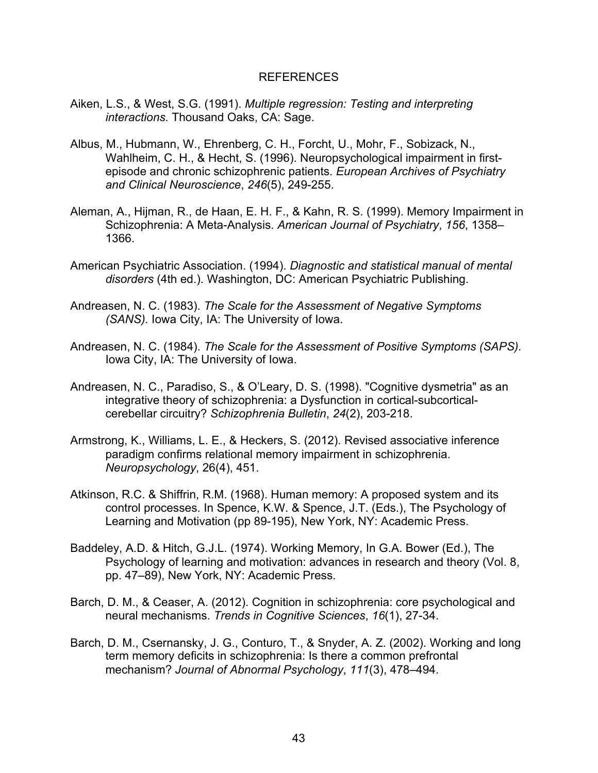# REFERENCES

- Aiken, L.S., & West, S.G. (1991). *Multiple regression: Testing and interpreting interactions.* Thousand Oaks, CA: Sage.
- Albus, M., Hubmann, W., Ehrenberg, C. H., Forcht, U., Mohr, F., Sobizack, N., Wahlheim, C. H., & Hecht, S. (1996). Neuropsychological impairment in firstepisode and chronic schizophrenic patients. *European Archives of Psychiatry and Clinical Neuroscience*, *246*(5), 249-255.
- Aleman, A., Hijman, R., de Haan, E. H. F., & Kahn, R. S. (1999). Memory Impairment in Schizophrenia: A Meta-Analysis. *American Journal of Psychiatry*, *156*, 1358– 1366.
- American Psychiatric Association. (1994). *Diagnostic and statistical manual of mental disorders* (4th ed.). Washington, DC: American Psychiatric Publishing.
- Andreasen, N. C. (1983). *The Scale for the Assessment of Negative Symptoms (SANS).* Iowa City, IA: The University of Iowa.
- Andreasen, N. C. (1984). *The Scale for the Assessment of Positive Symptoms (SAPS).* Iowa City, IA: The University of Iowa.
- Andreasen, N. C., Paradiso, S., & O'Leary, D. S. (1998). "Cognitive dysmetria" as an integrative theory of schizophrenia: a Dysfunction in cortical-subcorticalcerebellar circuitry? *Schizophrenia Bulletin*, *24*(2), 203-218.
- Armstrong, K., Williams, L. E., & Heckers, S. (2012). Revised associative inference paradigm confirms relational memory impairment in schizophrenia. *Neuropsychology*, 26(4), 451.
- Atkinson, R.C. & Shiffrin, R.M. (1968). Human memory: A proposed system and its control processes. In Spence, K.W. & Spence, J.T. (Eds.), The Psychology of Learning and Motivation (pp 89-195), New York, NY: Academic Press.
- Baddeley, A.D. & Hitch, G.J.L. (1974). Working Memory, In G.A. Bower (Ed.), The Psychology of learning and motivation: advances in research and theory (Vol. 8, pp. 47–89), New York, NY: Academic Press.
- Barch, D. M., & Ceaser, A. (2012). Cognition in schizophrenia: core psychological and neural mechanisms. *Trends in Cognitive Sciences*, *16*(1), 27-34.
- Barch, D. M., Csernansky, J. G., Conturo, T., & Snyder, A. Z. (2002). Working and long term memory deficits in schizophrenia: Is there a common prefrontal mechanism? *Journal of Abnormal Psychology*, *111*(3), 478–494.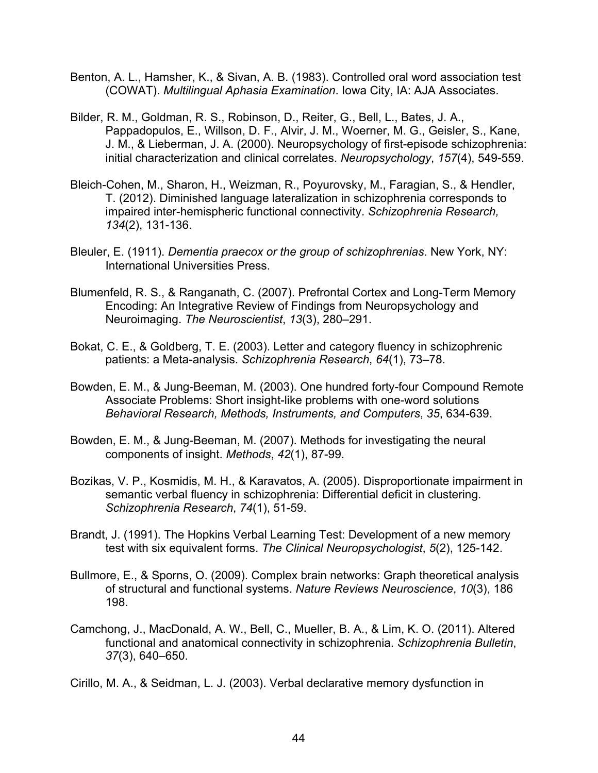- Benton, A. L., Hamsher, K., & Sivan, A. B. (1983). Controlled oral word association test (COWAT). *Multilingual Aphasia Examination*. Iowa City, IA: AJA Associates.
- Bilder, R. M., Goldman, R. S., Robinson, D., Reiter, G., Bell, L., Bates, J. A., Pappadopulos, E., Willson, D. F., Alvir, J. M., Woerner, M. G., Geisler, S., Kane, J. M., & Lieberman, J. A. (2000). Neuropsychology of first-episode schizophrenia: initial characterization and clinical correlates. *Neuropsychology*, *157*(4), 549-559.
- Bleich-Cohen, M., Sharon, H., Weizman, R., Poyurovsky, M., Faragian, S., & Hendler, T. (2012). Diminished language lateralization in schizophrenia corresponds to impaired inter-hemispheric functional connectivity. *Schizophrenia Research, 134*(2), 131-136.
- Bleuler, E. (1911). *Dementia praecox or the group of schizophrenias*. New York, NY: International Universities Press.
- Blumenfeld, R. S., & Ranganath, C. (2007). Prefrontal Cortex and Long-Term Memory Encoding: An Integrative Review of Findings from Neuropsychology and Neuroimaging. *The Neuroscientist*, *13*(3), 280–291.
- Bokat, C. E., & Goldberg, T. E. (2003). Letter and category fluency in schizophrenic patients: a Meta-analysis. *Schizophrenia Research*, *64*(1), 73–78.
- Bowden, E. M., & Jung-Beeman, M. (2003). One hundred forty-four Compound Remote Associate Problems: Short insight-like problems with one-word solutions *Behavioral Research, Methods, Instruments, and Computers*, *35*, 634-639.
- Bowden, E. M., & Jung-Beeman, M. (2007). Methods for investigating the neural components of insight. *Methods*, *42*(1), 87-99.
- Bozikas, V. P., Kosmidis, M. H., & Karavatos, A. (2005). Disproportionate impairment in semantic verbal fluency in schizophrenia: Differential deficit in clustering. *Schizophrenia Research*, *74*(1), 51-59.
- Brandt, J. (1991). The Hopkins Verbal Learning Test: Development of a new memory test with six equivalent forms. *The Clinical Neuropsychologist*, *5*(2), 125-142.
- Bullmore, E., & Sporns, O. (2009). Complex brain networks: Graph theoretical analysis of structural and functional systems. *Nature Reviews Neuroscience*, *10*(3), 186 198.
- Camchong, J., MacDonald, A. W., Bell, C., Mueller, B. A., & Lim, K. O. (2011). Altered functional and anatomical connectivity in schizophrenia. *Schizophrenia Bulletin*, *37*(3), 640–650.
- Cirillo, M. A., & Seidman, L. J. (2003). Verbal declarative memory dysfunction in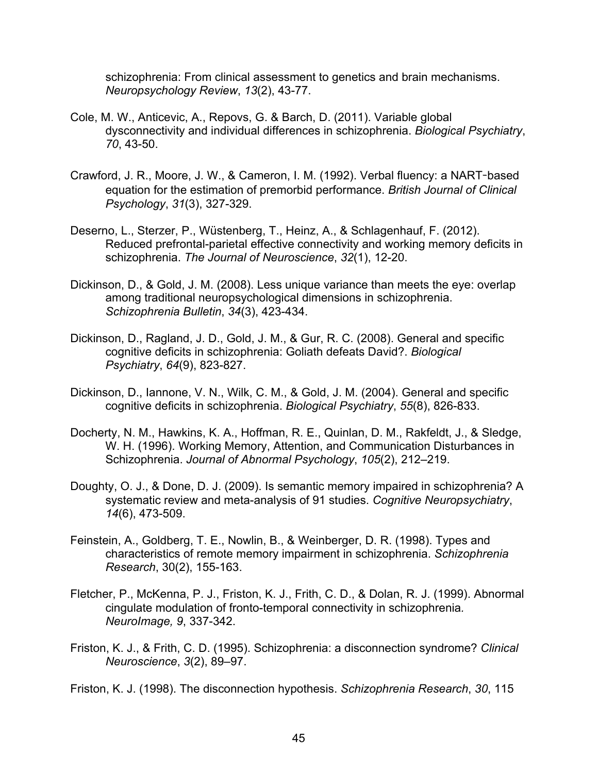schizophrenia: From clinical assessment to genetics and brain mechanisms. *Neuropsychology Review*, *13*(2), 43-77.

- Cole, M. W., Anticevic, A., Repovs, G. & Barch, D. (2011). Variable global dysconnectivity and individual differences in schizophrenia. *Biological Psychiatry*, *70*, 43-50.
- Crawford, J. R., Moore, J. W., & Cameron, I. M. (1992). Verbal fluency: a NART**-**based equation for the estimation of premorbid performance. *British Journal of Clinical Psychology*, *31*(3), 327-329.
- Deserno, L., Sterzer, P., Wüstenberg, T., Heinz, A., & Schlagenhauf, F. (2012). Reduced prefrontal-parietal effective connectivity and working memory deficits in schizophrenia. *The Journal of Neuroscience*, *32*(1), 12-20.
- Dickinson, D., & Gold, J. M. (2008). Less unique variance than meets the eye: overlap among traditional neuropsychological dimensions in schizophrenia. *Schizophrenia Bulletin*, *34*(3), 423-434.
- Dickinson, D., Ragland, J. D., Gold, J. M., & Gur, R. C. (2008). General and specific cognitive deficits in schizophrenia: Goliath defeats David?. *Biological Psychiatry*, *64*(9), 823-827.
- Dickinson, D., Iannone, V. N., Wilk, C. M., & Gold, J. M. (2004). General and specific cognitive deficits in schizophrenia. *Biological Psychiatry*, *55*(8), 826-833.
- Docherty, N. M., Hawkins, K. A., Hoffman, R. E., Quinlan, D. M., Rakfeldt, J., & Sledge, W. H. (1996). Working Memory, Attention, and Communication Disturbances in Schizophrenia. *Journal of Abnormal Psychology*, *105*(2), 212–219.
- Doughty, O. J., & Done, D. J. (2009). Is semantic memory impaired in schizophrenia? A systematic review and meta-analysis of 91 studies. *Cognitive Neuropsychiatry*, *14*(6), 473-509.
- Feinstein, A., Goldberg, T. E., Nowlin, B., & Weinberger, D. R. (1998). Types and characteristics of remote memory impairment in schizophrenia. *Schizophrenia Research*, 30(2), 155-163.
- Fletcher, P., McKenna, P. J., Friston, K. J., Frith, C. D., & Dolan, R. J. (1999). Abnormal cingulate modulation of fronto-temporal connectivity in schizophrenia*. NeuroImage, 9*, 337-342.
- Friston, K. J., & Frith, C. D. (1995). Schizophrenia: a disconnection syndrome? *Clinical Neuroscience*, *3*(2), 89–97.

Friston, K. J. (1998). The disconnection hypothesis. *Schizophrenia Research*, *30*, 115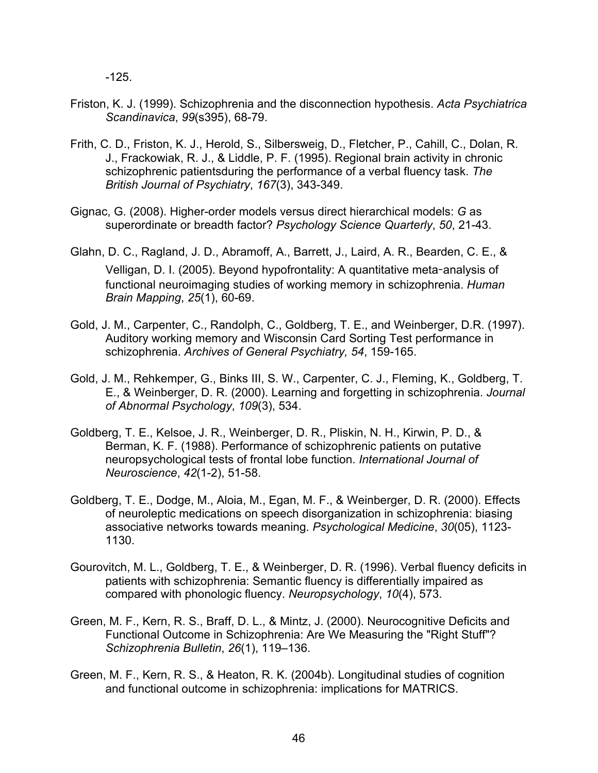-125.

- Friston, K. J. (1999). Schizophrenia and the disconnection hypothesis. *Acta Psychiatrica Scandinavica*, *99*(s395), 68-79.
- Frith, C. D., Friston, K. J., Herold, S., Silbersweig, D., Fletcher, P., Cahill, C., Dolan, R. J., Frackowiak, R. J., & Liddle, P. F. (1995). Regional brain activity in chronic schizophrenic patientsduring the performance of a verbal fluency task. *The British Journal of Psychiatry*, *167*(3), 343-349.
- Gignac, G. (2008). Higher-order models versus direct hierarchical models: *G* as superordinate or breadth factor? *Psychology Science Quarterly*, *50*, 21-43.
- Glahn, D. C., Ragland, J. D., Abramoff, A., Barrett, J., Laird, A. R., Bearden, C. E., & Velligan, D. I. (2005). Beyond hypofrontality: A quantitative meta**-**analysis of functional neuroimaging studies of working memory in schizophrenia. *Human Brain Mapping*, *25*(1), 60-69.
- Gold, J. M., Carpenter, C., Randolph, C., Goldberg, T. E., and Weinberger, D.R. (1997). Auditory working memory and Wisconsin Card Sorting Test performance in schizophrenia. *Archives of General Psychiatry, 54*, 159-165.
- Gold, J. M., Rehkemper, G., Binks III, S. W., Carpenter, C. J., Fleming, K., Goldberg, T. E., & Weinberger, D. R. (2000). Learning and forgetting in schizophrenia. *Journal of Abnormal Psychology*, *109*(3), 534.
- Goldberg, T. E., Kelsoe, J. R., Weinberger, D. R., Pliskin, N. H., Kirwin, P. D., & Berman, K. F. (1988). Performance of schizophrenic patients on putative neuropsychological tests of frontal lobe function. *International Journal of Neuroscience*, *42*(1-2), 51-58.
- Goldberg, T. E., Dodge, M., Aloia, M., Egan, M. F., & Weinberger, D. R. (2000). Effects of neuroleptic medications on speech disorganization in schizophrenia: biasing associative networks towards meaning. *Psychological Medicine*, *30*(05), 1123- 1130.
- Gourovitch, M. L., Goldberg, T. E., & Weinberger, D. R. (1996). Verbal fluency deficits in patients with schizophrenia: Semantic fluency is differentially impaired as compared with phonologic fluency. *Neuropsychology*, *10*(4), 573.
- Green, M. F., Kern, R. S., Braff, D. L., & Mintz, J. (2000). Neurocognitive Deficits and Functional Outcome in Schizophrenia: Are We Measuring the "Right Stuff"? *Schizophrenia Bulletin*, *26*(1), 119–136.
- Green, M. F., Kern, R. S., & Heaton, R. K. (2004b). Longitudinal studies of cognition and functional outcome in schizophrenia: implications for MATRICS.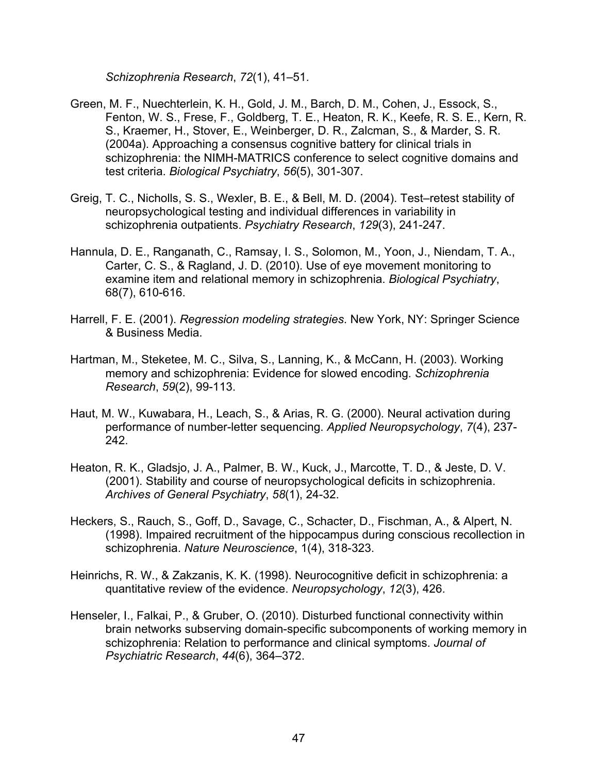*Schizophrenia Research*, *72*(1), 41–51.

- Green, M. F., Nuechterlein, K. H., Gold, J. M., Barch, D. M., Cohen, J., Essock, S., Fenton, W. S., Frese, F., Goldberg, T. E., Heaton, R. K., Keefe, R. S. E., Kern, R. S., Kraemer, H., Stover, E., Weinberger, D. R., Zalcman, S., & Marder, S. R. (2004a). Approaching a consensus cognitive battery for clinical trials in schizophrenia: the NIMH-MATRICS conference to select cognitive domains and test criteria. *Biological Psychiatry*, *56*(5), 301-307.
- Greig, T. C., Nicholls, S. S., Wexler, B. E., & Bell, M. D. (2004). Test–retest stability of neuropsychological testing and individual differences in variability in schizophrenia outpatients. *Psychiatry Research*, *129*(3), 241-247.
- Hannula, D. E., Ranganath, C., Ramsay, I. S., Solomon, M., Yoon, J., Niendam, T. A., Carter, C. S., & Ragland, J. D. (2010). Use of eye movement monitoring to examine item and relational memory in schizophrenia. *Biological Psychiatry*, 68(7), 610-616.
- Harrell, F. E. (2001). *Regression modeling strategies*. New York, NY: Springer Science & Business Media.
- Hartman, M., Steketee, M. C., Silva, S., Lanning, K., & McCann, H. (2003). Working memory and schizophrenia: Evidence for slowed encoding*. Schizophrenia Research*, *59*(2), 99-113.
- Haut, M. W., Kuwabara, H., Leach, S., & Arias, R. G. (2000). Neural activation during performance of number-letter sequencing. *Applied Neuropsychology*, *7*(4), 237- 242.
- Heaton, R. K., Gladsjo, J. A., Palmer, B. W., Kuck, J., Marcotte, T. D., & Jeste, D. V. (2001). Stability and course of neuropsychological deficits in schizophrenia. *Archives of General Psychiatry*, *58*(1), 24-32.
- Heckers, S., Rauch, S., Goff, D., Savage, C., Schacter, D., Fischman, A., & Alpert, N. (1998). Impaired recruitment of the hippocampus during conscious recollection in schizophrenia. *Nature Neuroscience*, 1(4), 318-323.
- Heinrichs, R. W., & Zakzanis, K. K. (1998). Neurocognitive deficit in schizophrenia: a quantitative review of the evidence. *Neuropsychology*, *12*(3), 426.
- Henseler, I., Falkai, P., & Gruber, O. (2010). Disturbed functional connectivity within brain networks subserving domain-specific subcomponents of working memory in schizophrenia: Relation to performance and clinical symptoms. *Journal of Psychiatric Research*, *44*(6), 364–372.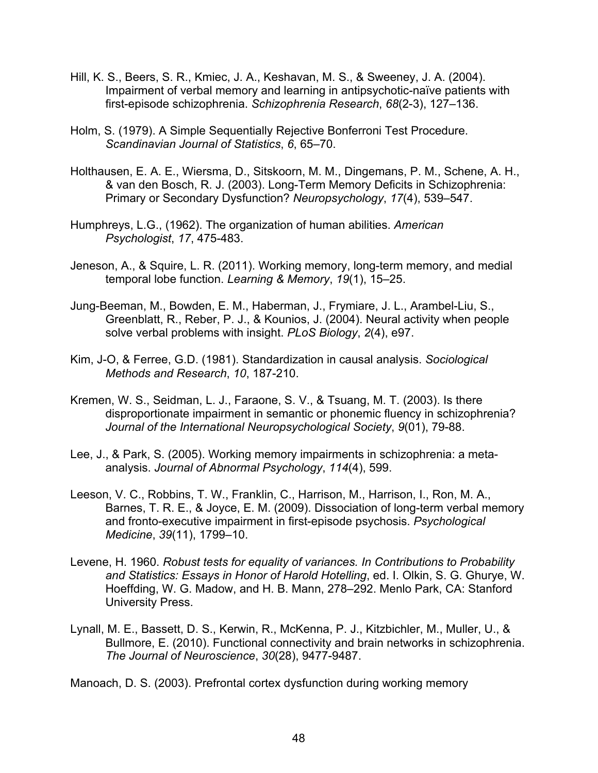- Hill, K. S., Beers, S. R., Kmiec, J. A., Keshavan, M. S., & Sweeney, J. A. (2004). Impairment of verbal memory and learning in antipsychotic-naïve patients with first-episode schizophrenia. *Schizophrenia Research*, *68*(2-3), 127–136.
- Holm, S. (1979). A Simple Sequentially Rejective Bonferroni Test Procedure. *Scandinavian Journal of Statistics*, *6*, 65–70.
- Holthausen, E. A. E., Wiersma, D., Sitskoorn, M. M., Dingemans, P. M., Schene, A. H., & van den Bosch, R. J. (2003). Long-Term Memory Deficits in Schizophrenia: Primary or Secondary Dysfunction? *Neuropsychology*, *17*(4), 539–547.
- Humphreys, L.G., (1962). The organization of human abilities. *American Psychologist*, *17*, 475-483.
- Jeneson, A., & Squire, L. R. (2011). Working memory, long-term memory, and medial temporal lobe function. *Learning & Memory*, *19*(1), 15–25.
- Jung-Beeman, M., Bowden, E. M., Haberman, J., Frymiare, J. L., Arambel-Liu, S., Greenblatt, R., Reber, P. J., & Kounios, J. (2004). Neural activity when people solve verbal problems with insight. *PLoS Biology*, *2*(4), e97.
- Kim, J-O, & Ferree, G.D. (1981). Standardization in causal analysis. *Sociological Methods and Research*, *10*, 187-210.
- Kremen, W. S., Seidman, L. J., Faraone, S. V., & Tsuang, M. T. (2003). Is there disproportionate impairment in semantic or phonemic fluency in schizophrenia? *Journal of the International Neuropsychological Society*, *9*(01), 79-88.
- Lee, J., & Park, S. (2005). Working memory impairments in schizophrenia: a metaanalysis. *Journal of Abnormal Psychology*, *114*(4), 599.
- Leeson, V. C., Robbins, T. W., Franklin, C., Harrison, M., Harrison, I., Ron, M. A., Barnes, T. R. E., & Joyce, E. M. (2009). Dissociation of long-term verbal memory and fronto-executive impairment in first-episode psychosis. *Psychological Medicine*, *39*(11), 1799–10.
- Levene, H. 1960. *Robust tests for equality of variances. In Contributions to Probability and Statistics: Essays in Honor of Harold Hotelling*, ed. I. Olkin, S. G. Ghurye, W. Hoeffding, W. G. Madow, and H. B. Mann, 278–292. Menlo Park, CA: Stanford University Press.
- Lynall, M. E., Bassett, D. S., Kerwin, R., McKenna, P. J., Kitzbichler, M., Muller, U., & Bullmore, E. (2010). Functional connectivity and brain networks in schizophrenia. *The Journal of Neuroscience*, *30*(28), 9477-9487.

Manoach, D. S. (2003). Prefrontal cortex dysfunction during working memory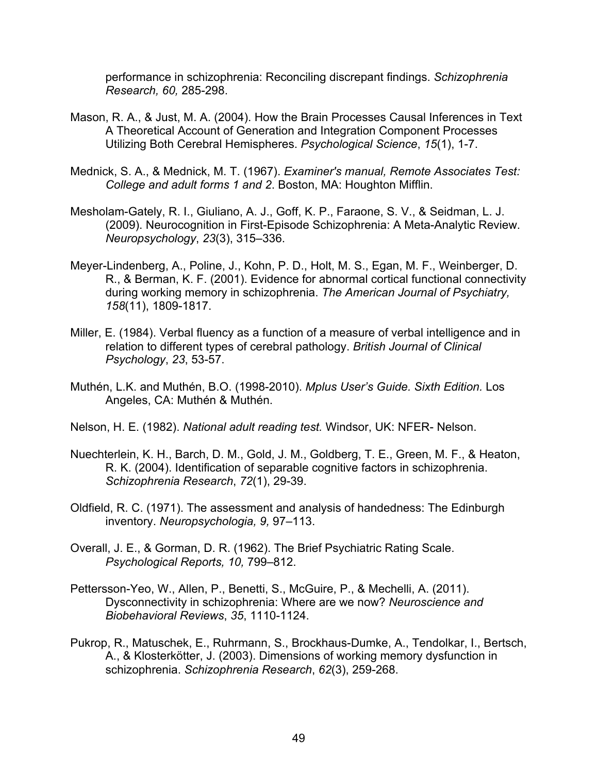performance in schizophrenia: Reconciling discrepant findings. *Schizophrenia Research, 60,* 285-298.

- Mason, R. A., & Just, M. A. (2004). How the Brain Processes Causal Inferences in Text A Theoretical Account of Generation and Integration Component Processes Utilizing Both Cerebral Hemispheres. *Psychological Science*, *15*(1), 1-7.
- Mednick, S. A., & Mednick, M. T. (1967). *Examiner's manual, Remote Associates Test: College and adult forms 1 and 2*. Boston, MA: Houghton Mifflin.
- Mesholam-Gately, R. I., Giuliano, A. J., Goff, K. P., Faraone, S. V., & Seidman, L. J. (2009). Neurocognition in First-Episode Schizophrenia: A Meta-Analytic Review. *Neuropsychology*, *23*(3), 315–336.
- Meyer-Lindenberg, A., Poline, J., Kohn, P. D., Holt, M. S., Egan, M. F., Weinberger, D. R., & Berman, K. F. (2001). Evidence for abnormal cortical functional connectivity during working memory in schizophrenia. *The American Journal of Psychiatry, 158*(11), 1809-1817.
- Miller, E. (1984). Verbal fluency as a function of a measure of verbal intelligence and in relation to different types of cerebral pathology. *British Journal of Clinical Psychology*, *23*, 53-57.
- Muthén, L.K. and Muthén, B.O. (1998-2010). *Mplus User's Guide. Sixth Edition.* Los Angeles, CA: Muthén & Muthén.
- Nelson, H. E. (1982). *National adult reading test.* Windsor, UK: NFER- Nelson.
- Nuechterlein, K. H., Barch, D. M., Gold, J. M., Goldberg, T. E., Green, M. F., & Heaton, R. K. (2004). Identification of separable cognitive factors in schizophrenia. *Schizophrenia Research*, *72*(1), 29-39.
- Oldfield, R. C. (1971). The assessment and analysis of handedness: The Edinburgh inventory. *Neuropsychologia, 9,* 97–113.
- Overall, J. E., & Gorman, D. R. (1962). The Brief Psychiatric Rating Scale. *Psychological Reports, 10,* 799–812.
- Pettersson-Yeo, W., Allen, P., Benetti, S., McGuire, P., & Mechelli, A. (2011). Dysconnectivity in schizophrenia: Where are we now? *Neuroscience and Biobehavioral Reviews*, *35*, 1110-1124.
- Pukrop, R., Matuschek, E., Ruhrmann, S., Brockhaus-Dumke, A., Tendolkar, I., Bertsch, A., & Klosterkötter, J. (2003). Dimensions of working memory dysfunction in schizophrenia. *Schizophrenia Research*, *62*(3), 259-268.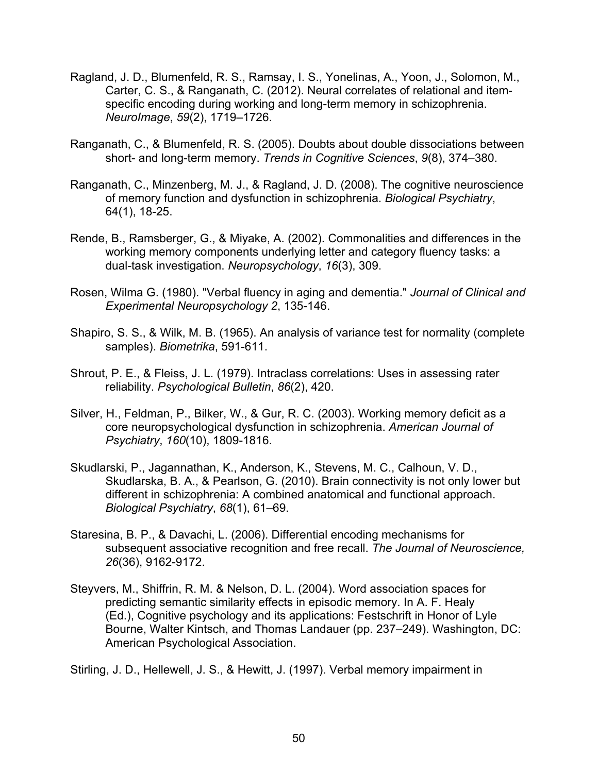- Ragland, J. D., Blumenfeld, R. S., Ramsay, I. S., Yonelinas, A., Yoon, J., Solomon, M., Carter, C. S., & Ranganath, C. (2012). Neural correlates of relational and itemspecific encoding during working and long-term memory in schizophrenia. *NeuroImage*, *59*(2), 1719–1726.
- Ranganath, C., & Blumenfeld, R. S. (2005). Doubts about double dissociations between short- and long-term memory. *Trends in Cognitive Sciences*, *9*(8), 374–380.
- Ranganath, C., Minzenberg, M. J., & Ragland, J. D. (2008). The cognitive neuroscience of memory function and dysfunction in schizophrenia. *Biological Psychiatry*, 64(1), 18-25.
- Rende, B., Ramsberger, G., & Miyake, A. (2002). Commonalities and differences in the working memory components underlying letter and category fluency tasks: a dual-task investigation. *Neuropsychology*, *16*(3), 309.
- Rosen, Wilma G. (1980). "Verbal fluency in aging and dementia." *Journal of Clinical and Experimental Neuropsychology 2*, 135-146.
- Shapiro, S. S., & Wilk, M. B. (1965). An analysis of variance test for normality (complete samples). *Biometrika*, 591-611.
- Shrout, P. E., & Fleiss, J. L. (1979). Intraclass correlations: Uses in assessing rater reliability. *Psychological Bulletin*, *86*(2), 420.
- Silver, H., Feldman, P., Bilker, W., & Gur, R. C. (2003). Working memory deficit as a core neuropsychological dysfunction in schizophrenia. *American Journal of Psychiatry*, *160*(10), 1809-1816.
- Skudlarski, P., Jagannathan, K., Anderson, K., Stevens, M. C., Calhoun, V. D., Skudlarska, B. A., & Pearlson, G. (2010). Brain connectivity is not only lower but different in schizophrenia: A combined anatomical and functional approach. *Biological Psychiatry*, *68*(1), 61–69.
- Staresina, B. P., & Davachi, L. (2006). Differential encoding mechanisms for subsequent associative recognition and free recall. *The Journal of Neuroscience, 26*(36), 9162-9172.
- Steyvers, M., Shiffrin, R. M. & Nelson, D. L. (2004). Word association spaces for predicting semantic similarity effects in episodic memory. In A. F. Healy (Ed.), Cognitive psychology and its applications: Festschrift in Honor of Lyle Bourne, Walter Kintsch, and Thomas Landauer (pp. 237–249). Washington, DC: American Psychological Association.

Stirling, J. D., Hellewell, J. S., & Hewitt, J. (1997). Verbal memory impairment in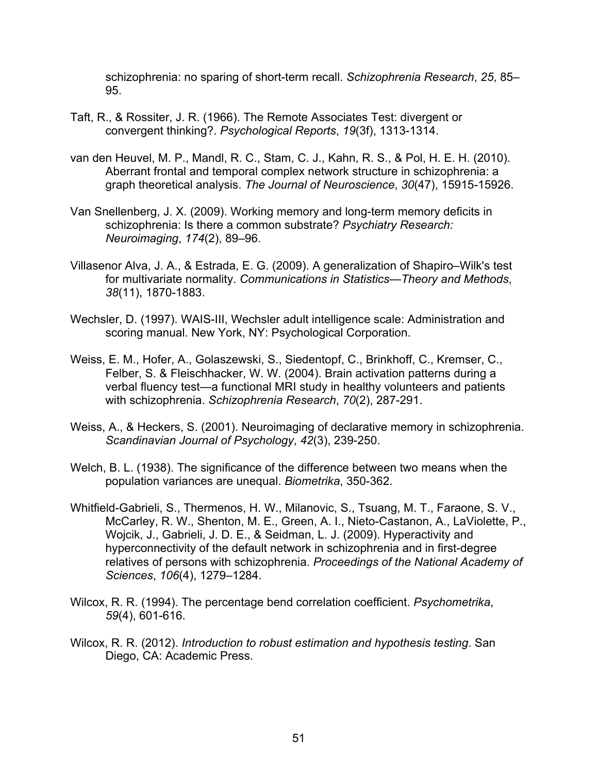schizophrenia: no sparing of short-term recall. *Schizophrenia Research*, *25*, 85– 95.

- Taft, R., & Rossiter, J. R. (1966). The Remote Associates Test: divergent or convergent thinking?. *Psychological Reports*, *19*(3f), 1313-1314.
- van den Heuvel, M. P., Mandl, R. C., Stam, C. J., Kahn, R. S., & Pol, H. E. H. (2010). Aberrant frontal and temporal complex network structure in schizophrenia: a graph theoretical analysis. *The Journal of Neuroscience*, *30*(47), 15915-15926.
- Van Snellenberg, J. X. (2009). Working memory and long-term memory deficits in schizophrenia: Is there a common substrate? *Psychiatry Research: Neuroimaging*, *174*(2), 89–96.
- Villasenor Alva, J. A., & Estrada, E. G. (2009). A generalization of Shapiro–Wilk's test for multivariate normality. *Communications in Statistics—Theory and Methods*, *38*(11), 1870-1883.
- Wechsler, D. (1997). WAIS-III, Wechsler adult intelligence scale: Administration and scoring manual. New York, NY: Psychological Corporation.
- Weiss, E. M., Hofer, A., Golaszewski, S., Siedentopf, C., Brinkhoff, C., Kremser, C., Felber, S. & Fleischhacker, W. W. (2004). Brain activation patterns during a verbal fluency test—a functional MRI study in healthy volunteers and patients with schizophrenia. *Schizophrenia Research*, *70*(2), 287-291.
- Weiss, A., & Heckers, S. (2001). Neuroimaging of declarative memory in schizophrenia. *Scandinavian Journal of Psychology*, *42*(3), 239-250.
- Welch, B. L. (1938). The significance of the difference between two means when the population variances are unequal. *Biometrika*, 350-362.
- Whitfield-Gabrieli, S., Thermenos, H. W., Milanovic, S., Tsuang, M. T., Faraone, S. V., McCarley, R. W., Shenton, M. E., Green, A. I., Nieto-Castanon, A., LaViolette, P., Wojcik, J., Gabrieli, J. D. E., & Seidman, L. J. (2009). Hyperactivity and hyperconnectivity of the default network in schizophrenia and in first-degree relatives of persons with schizophrenia. *Proceedings of the National Academy of Sciences*, *106*(4), 1279–1284.
- Wilcox, R. R. (1994). The percentage bend correlation coefficient. *Psychometrika*, *59*(4), 601-616.
- Wilcox, R. R. (2012). *Introduction to robust estimation and hypothesis testing*. San Diego, CA: Academic Press.